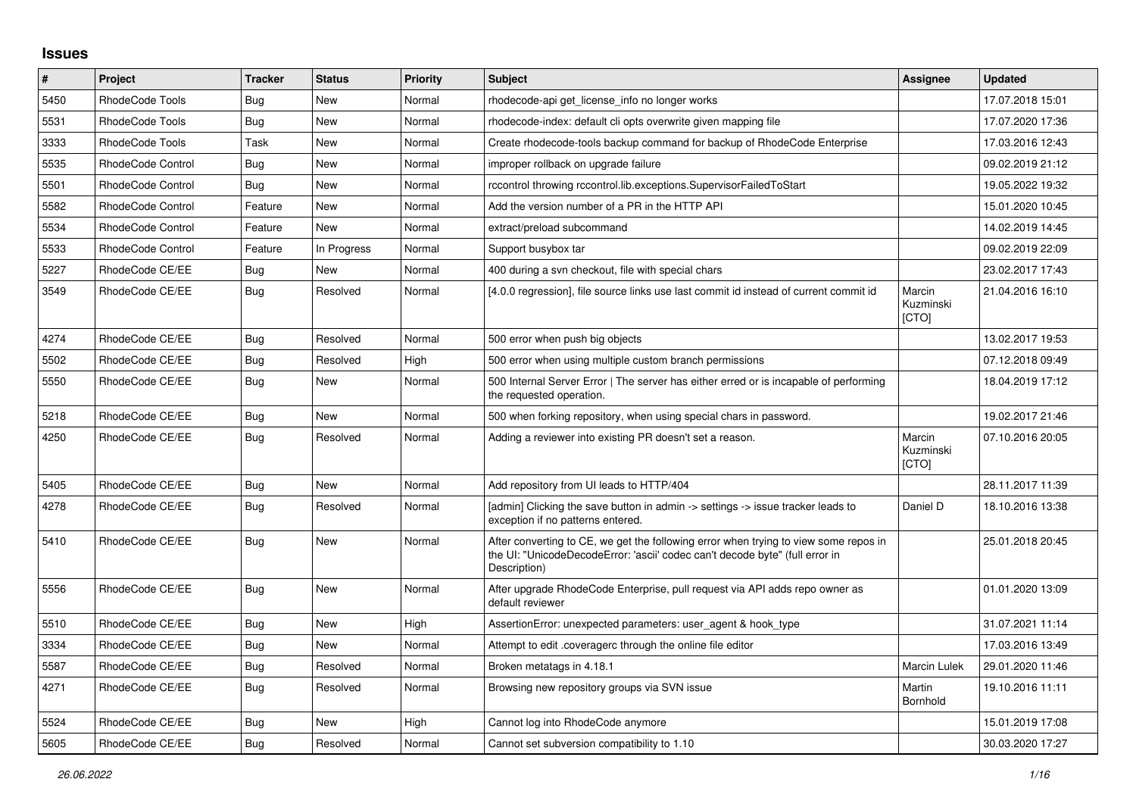## **Issues**

| #    | Project                  | <b>Tracker</b> | <b>Status</b> | <b>Priority</b> | <b>Subject</b>                                                                                                                                                                       | Assignee                     | <b>Updated</b>   |
|------|--------------------------|----------------|---------------|-----------------|--------------------------------------------------------------------------------------------------------------------------------------------------------------------------------------|------------------------------|------------------|
| 5450 | RhodeCode Tools          | Bug            | <b>New</b>    | Normal          | rhodecode-api get_license_info no longer works                                                                                                                                       |                              | 17.07.2018 15:01 |
| 5531 | RhodeCode Tools          | Bug            | <b>New</b>    | Normal          | rhodecode-index: default cli opts overwrite given mapping file                                                                                                                       |                              | 17.07.2020 17:36 |
| 3333 | RhodeCode Tools          | Task           | New           | Normal          | Create rhodecode-tools backup command for backup of RhodeCode Enterprise                                                                                                             |                              | 17.03.2016 12:43 |
| 5535 | <b>RhodeCode Control</b> | Bug            | <b>New</b>    | Normal          | improper rollback on upgrade failure                                                                                                                                                 |                              | 09.02.2019 21:12 |
| 5501 | RhodeCode Control        | Bug            | <b>New</b>    | Normal          | rccontrol throwing rccontrol.lib.exceptions.SupervisorFailedToStart                                                                                                                  |                              | 19.05.2022 19:32 |
| 5582 | RhodeCode Control        | Feature        | <b>New</b>    | Normal          | Add the version number of a PR in the HTTP API                                                                                                                                       |                              | 15.01.2020 10:45 |
| 5534 | <b>RhodeCode Control</b> | Feature        | <b>New</b>    | Normal          | extract/preload subcommand                                                                                                                                                           |                              | 14.02.2019 14:45 |
| 5533 | <b>RhodeCode Control</b> | Feature        | In Progress   | Normal          | Support busybox tar                                                                                                                                                                  |                              | 09.02.2019 22:09 |
| 5227 | RhodeCode CE/EE          | Bug            | New           | Normal          | 400 during a svn checkout, file with special chars                                                                                                                                   |                              | 23.02.2017 17:43 |
| 3549 | RhodeCode CE/EE          | Bug            | Resolved      | Normal          | [4.0.0 regression], file source links use last commit id instead of current commit id                                                                                                | Marcin<br>Kuzminski<br>[CTO] | 21.04.2016 16:10 |
| 4274 | RhodeCode CE/EE          | Bug            | Resolved      | Normal          | 500 error when push big objects                                                                                                                                                      |                              | 13.02.2017 19:53 |
| 5502 | RhodeCode CE/EE          | Bug            | Resolved      | High            | 500 error when using multiple custom branch permissions                                                                                                                              |                              | 07.12.2018 09:49 |
| 5550 | RhodeCode CE/EE          | Bug            | <b>New</b>    | Normal          | 500 Internal Server Error   The server has either erred or is incapable of performing<br>the requested operation.                                                                    |                              | 18.04.2019 17:12 |
| 5218 | RhodeCode CE/EE          | Bug            | <b>New</b>    | Normal          | 500 when forking repository, when using special chars in password.                                                                                                                   |                              | 19.02.2017 21:46 |
| 4250 | RhodeCode CE/EE          | <b>Bug</b>     | Resolved      | Normal          | Adding a reviewer into existing PR doesn't set a reason.                                                                                                                             | Marcin<br>Kuzminski<br>[CTO] | 07.10.2016 20:05 |
| 5405 | RhodeCode CE/EE          | <b>Bug</b>     | <b>New</b>    | Normal          | Add repository from UI leads to HTTP/404                                                                                                                                             |                              | 28.11.2017 11:39 |
| 4278 | RhodeCode CE/EE          | Bug            | Resolved      | Normal          | [admin] Clicking the save button in admin -> settings -> issue tracker leads to<br>exception if no patterns entered.                                                                 | Daniel D                     | 18.10.2016 13:38 |
| 5410 | RhodeCode CE/EE          | Bug            | <b>New</b>    | Normal          | After converting to CE, we get the following error when trying to view some repos in<br>the UI: "UnicodeDecodeError: 'ascii' codec can't decode byte" (full error in<br>Description) |                              | 25.01.2018 20:45 |
| 5556 | RhodeCode CE/EE          | Bug            | <b>New</b>    | Normal          | After upgrade RhodeCode Enterprise, pull request via API adds repo owner as<br>default reviewer                                                                                      |                              | 01.01.2020 13:09 |
| 5510 | RhodeCode CE/EE          | <b>Bug</b>     | <b>New</b>    | High            | AssertionError: unexpected parameters: user agent & hook type                                                                                                                        |                              | 31.07.2021 11:14 |
| 3334 | RhodeCode CE/EE          | Bug            | New           | Normal          | Attempt to edit .coveragerc through the online file editor                                                                                                                           |                              | 17.03.2016 13:49 |
| 5587 | RhodeCode CE/EE          | Bug            | Resolved      | Normal          | Broken metatags in 4.18.1                                                                                                                                                            | <b>Marcin Lulek</b>          | 29.01.2020 11:46 |
| 4271 | RhodeCode CE/EE          | Bug            | Resolved      | Normal          | Browsing new repository groups via SVN issue                                                                                                                                         | Martin<br>Bornhold           | 19.10.2016 11:11 |
| 5524 | RhodeCode CE/EE          | Bug            | <b>New</b>    | High            | Cannot log into RhodeCode anymore                                                                                                                                                    |                              | 15.01.2019 17:08 |
| 5605 | RhodeCode CE/EE          | <b>Bug</b>     | Resolved      | Normal          | Cannot set subversion compatibility to 1.10                                                                                                                                          |                              | 30.03.2020 17:27 |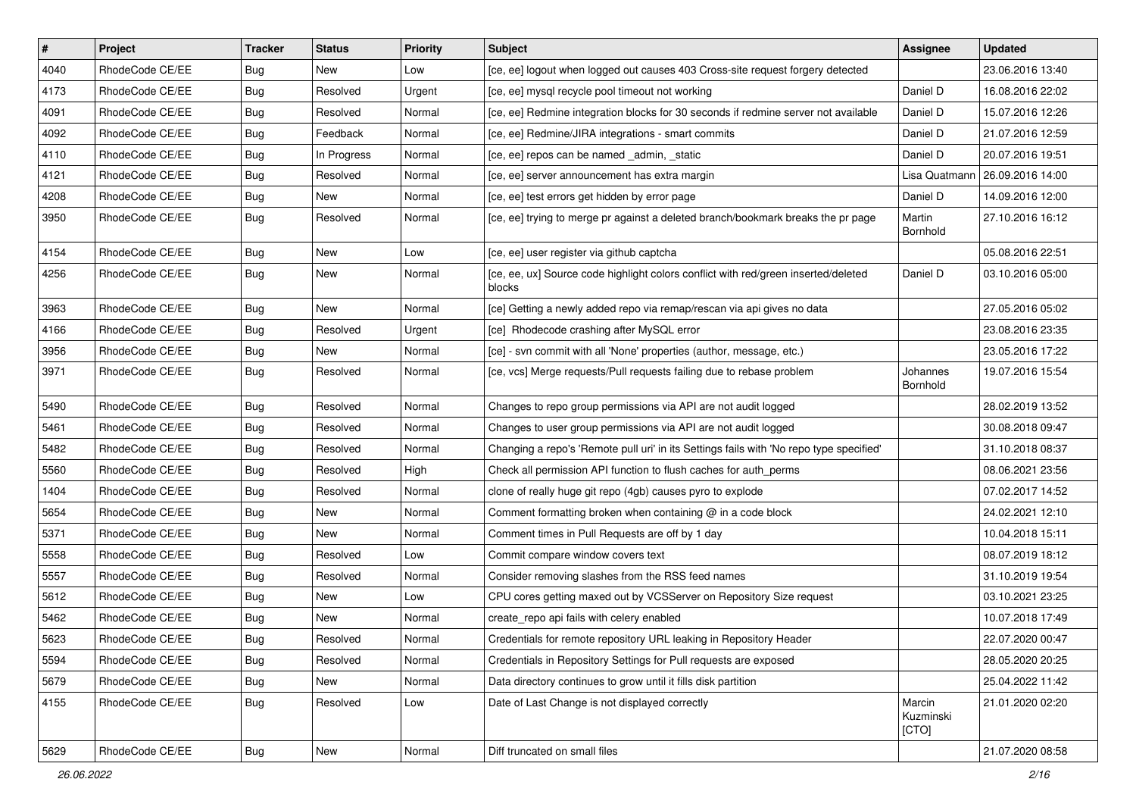| $\vert$ # | Project         | <b>Tracker</b> | <b>Status</b> | <b>Priority</b> | Subject                                                                                      | Assignee                     | <b>Updated</b>                   |
|-----------|-----------------|----------------|---------------|-----------------|----------------------------------------------------------------------------------------------|------------------------------|----------------------------------|
| 4040      | RhodeCode CE/EE | Bug            | New           | Low             | [ce, ee] logout when logged out causes 403 Cross-site request forgery detected               |                              | 23.06.2016 13:40                 |
| 4173      | RhodeCode CE/EE | Bug            | Resolved      | Urgent          | [ce, ee] mysql recycle pool timeout not working                                              | Daniel D                     | 16.08.2016 22:02                 |
| 4091      | RhodeCode CE/EE | Bug            | Resolved      | Normal          | [ce, ee] Redmine integration blocks for 30 seconds if redmine server not available           | Daniel D                     | 15.07.2016 12:26                 |
| 4092      | RhodeCode CE/EE | <b>Bug</b>     | Feedback      | Normal          | [ce, ee] Redmine/JIRA integrations - smart commits                                           | Daniel D                     | 21.07.2016 12:59                 |
| 4110      | RhodeCode CE/EE | Bug            | In Progress   | Normal          | [ce, ee] repos can be named _admin, _static                                                  | Daniel D                     | 20.07.2016 19:51                 |
| 4121      | RhodeCode CE/EE | Bug            | Resolved      | Normal          | [ce, ee] server announcement has extra margin                                                |                              | Lisa Quatmann   26.09.2016 14:00 |
| 4208      | RhodeCode CE/EE | Bug            | New           | Normal          | [ce, ee] test errors get hidden by error page                                                | Daniel D                     | 14.09.2016 12:00                 |
| 3950      | RhodeCode CE/EE | Bug            | Resolved      | Normal          | [ce, ee] trying to merge pr against a deleted branch/bookmark breaks the pr page             | Martin<br>Bornhold           | 27.10.2016 16:12                 |
| 4154      | RhodeCode CE/EE | Bug            | <b>New</b>    | Low             | [ce, ee] user register via github captcha                                                    |                              | 05.08.2016 22:51                 |
| 4256      | RhodeCode CE/EE | <b>Bug</b>     | <b>New</b>    | Normal          | [ce, ee, ux] Source code highlight colors conflict with red/green inserted/deleted<br>blocks | Daniel D                     | 03.10.2016 05:00                 |
| 3963      | RhodeCode CE/EE | Bug            | <b>New</b>    | Normal          | [ce] Getting a newly added repo via remap/rescan via api gives no data                       |                              | 27.05.2016 05:02                 |
| 4166      | RhodeCode CE/EE | Bug            | Resolved      | Urgent          | [ce] Rhodecode crashing after MySQL error                                                    |                              | 23.08.2016 23:35                 |
| 3956      | RhodeCode CE/EE | Bug            | New           | Normal          | [ce] - svn commit with all 'None' properties (author, message, etc.)                         |                              | 23.05.2016 17:22                 |
| 3971      | RhodeCode CE/EE | Bug            | Resolved      | Normal          | [ce, vcs] Merge requests/Pull requests failing due to rebase problem                         | Johannes<br>Bornhold         | 19.07.2016 15:54                 |
| 5490      | RhodeCode CE/EE | Bug            | Resolved      | Normal          | Changes to repo group permissions via API are not audit logged                               |                              | 28.02.2019 13:52                 |
| 5461      | RhodeCode CE/EE | Bug            | Resolved      | Normal          | Changes to user group permissions via API are not audit logged                               |                              | 30.08.2018 09:47                 |
| 5482      | RhodeCode CE/EE | <b>Bug</b>     | Resolved      | Normal          | Changing a repo's 'Remote pull uri' in its Settings fails with 'No repo type specified'      |                              | 31.10.2018 08:37                 |
| 5560      | RhodeCode CE/EE | <b>Bug</b>     | Resolved      | High            | Check all permission API function to flush caches for auth_perms                             |                              | 08.06.2021 23:56                 |
| 1404      | RhodeCode CE/EE | Bug            | Resolved      | Normal          | clone of really huge git repo (4gb) causes pyro to explode                                   |                              | 07.02.2017 14:52                 |
| 5654      | RhodeCode CE/EE | Bug            | New           | Normal          | Comment formatting broken when containing @ in a code block                                  |                              | 24.02.2021 12:10                 |
| 5371      | RhodeCode CE/EE | Bug            | <b>New</b>    | Normal          | Comment times in Pull Requests are off by 1 day                                              |                              | 10.04.2018 15:11                 |
| 5558      | RhodeCode CE/EE | <b>Bug</b>     | Resolved      | Low             | Commit compare window covers text                                                            |                              | 08.07.2019 18:12                 |
| 5557      | RhodeCode CE/EE | Bug            | Resolved      | Normal          | Consider removing slashes from the RSS feed names                                            |                              | 31.10.2019 19:54                 |
| 5612      | RhodeCode CE/EE | Bug            | New           | Low             | CPU cores getting maxed out by VCSServer on Repository Size request                          |                              | 03.10.2021 23:25                 |
| 5462      | RhodeCode CE/EE | Bug            | New           | Normal          | create repo api fails with celery enabled                                                    |                              | 10.07.2018 17:49                 |
| 5623      | RhodeCode CE/EE | <b>Bug</b>     | Resolved      | Normal          | Credentials for remote repository URL leaking in Repository Header                           |                              | 22.07.2020 00:47                 |
| 5594      | RhodeCode CE/EE | Bug            | Resolved      | Normal          | Credentials in Repository Settings for Pull requests are exposed                             |                              | 28.05.2020 20:25                 |
| 5679      | RhodeCode CE/EE | Bug            | New           | Normal          | Data directory continues to grow until it fills disk partition                               |                              | 25.04.2022 11:42                 |
| 4155      | RhodeCode CE/EE | Bug            | Resolved      | Low             | Date of Last Change is not displayed correctly                                               | Marcin<br>Kuzminski<br>[CTO] | 21.01.2020 02:20                 |
| 5629      | RhodeCode CE/EE | <b>Bug</b>     | New           | Normal          | Diff truncated on small files                                                                |                              | 21.07.2020 08:58                 |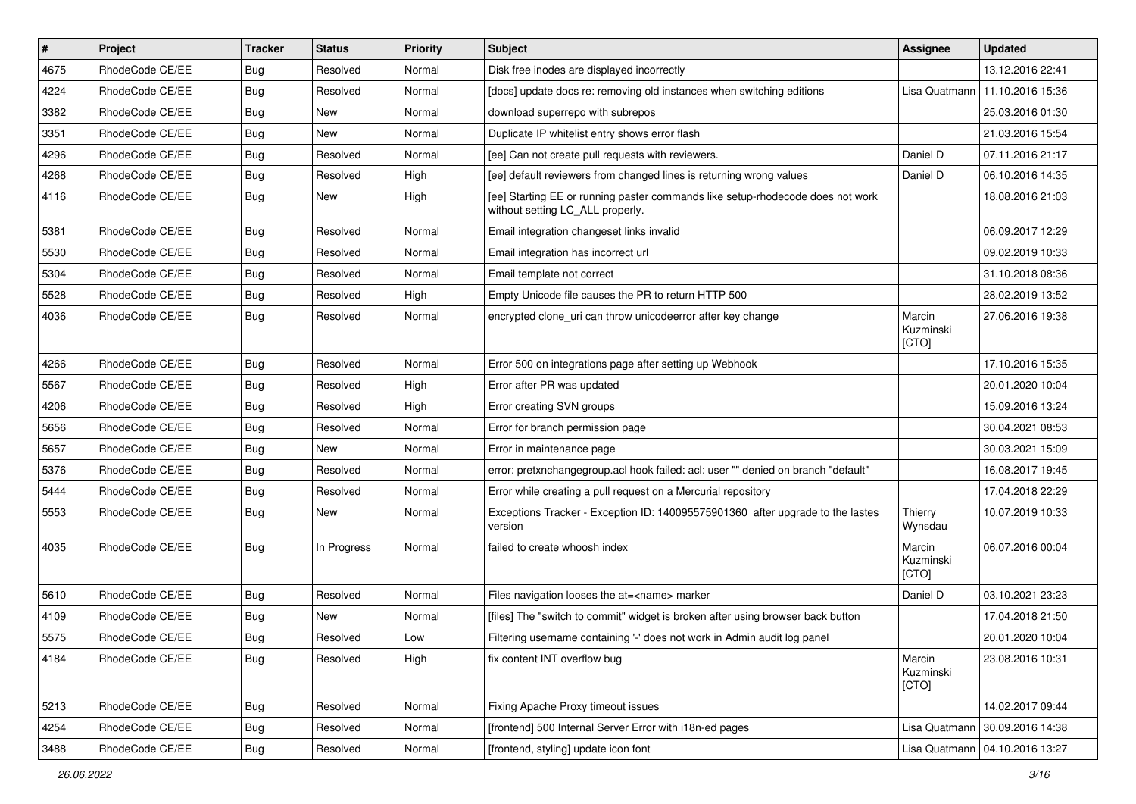| #    | Project         | Tracker    | <b>Status</b> | <b>Priority</b> | <b>Subject</b>                                                                                                     | <b>Assignee</b>              | <b>Updated</b>                   |
|------|-----------------|------------|---------------|-----------------|--------------------------------------------------------------------------------------------------------------------|------------------------------|----------------------------------|
| 4675 | RhodeCode CE/EE | Bug        | Resolved      | Normal          | Disk free inodes are displayed incorrectly                                                                         |                              | 13.12.2016 22:41                 |
| 4224 | RhodeCode CE/EE | Bug        | Resolved      | Normal          | [docs] update docs re: removing old instances when switching editions                                              |                              | Lisa Quatmann   11.10.2016 15:36 |
| 3382 | RhodeCode CE/EE | <b>Bug</b> | New           | Normal          | download superrepo with subrepos                                                                                   |                              | 25.03.2016 01:30                 |
| 3351 | RhodeCode CE/EE | <b>Bug</b> | <b>New</b>    | Normal          | Duplicate IP whitelist entry shows error flash                                                                     |                              | 21.03.2016 15:54                 |
| 4296 | RhodeCode CE/EE | Bug        | Resolved      | Normal          | [ee] Can not create pull requests with reviewers.                                                                  | Daniel D                     | 07.11.2016 21:17                 |
| 4268 | RhodeCode CE/EE | Bug        | Resolved      | High            | [ee] default reviewers from changed lines is returning wrong values                                                | Daniel D                     | 06.10.2016 14:35                 |
| 4116 | RhodeCode CE/EE | Bug        | New           | High            | [ee] Starting EE or running paster commands like setup-rhodecode does not work<br>without setting LC_ALL properly. |                              | 18.08.2016 21:03                 |
| 5381 | RhodeCode CE/EE | <b>Bug</b> | Resolved      | Normal          | Email integration changeset links invalid                                                                          |                              | 06.09.2017 12:29                 |
| 5530 | RhodeCode CE/EE | <b>Bug</b> | Resolved      | Normal          | Email integration has incorrect url                                                                                |                              | 09.02.2019 10:33                 |
| 5304 | RhodeCode CE/EE | <b>Bug</b> | Resolved      | Normal          | Email template not correct                                                                                         |                              | 31.10.2018 08:36                 |
| 5528 | RhodeCode CE/EE | Bug        | Resolved      | High            | Empty Unicode file causes the PR to return HTTP 500                                                                |                              | 28.02.2019 13:52                 |
| 4036 | RhodeCode CE/EE | Bug        | Resolved      | Normal          | encrypted clone uri can throw unicodeerror after key change                                                        | Marcin<br>Kuzminski<br>[CTO] | 27.06.2016 19:38                 |
| 4266 | RhodeCode CE/EE | Bug        | Resolved      | Normal          | Error 500 on integrations page after setting up Webhook                                                            |                              | 17.10.2016 15:35                 |
| 5567 | RhodeCode CE/EE | Bug        | Resolved      | High            | Error after PR was updated                                                                                         |                              | 20.01.2020 10:04                 |
| 4206 | RhodeCode CE/EE | <b>Bug</b> | Resolved      | High            | Error creating SVN groups                                                                                          |                              | 15.09.2016 13:24                 |
| 5656 | RhodeCode CE/EE | Bug        | Resolved      | Normal          | Error for branch permission page                                                                                   |                              | 30.04.2021 08:53                 |
| 5657 | RhodeCode CE/EE | Bug        | New           | Normal          | Error in maintenance page                                                                                          |                              | 30.03.2021 15:09                 |
| 5376 | RhodeCode CE/EE | Bug        | Resolved      | Normal          | error: pretxnchangegroup.acl hook failed: acl: user "" denied on branch "default"                                  |                              | 16.08.2017 19:45                 |
| 5444 | RhodeCode CE/EE | Bug        | Resolved      | Normal          | Error while creating a pull request on a Mercurial repository                                                      |                              | 17.04.2018 22:29                 |
| 5553 | RhodeCode CE/EE | Bug        | New           | Normal          | Exceptions Tracker - Exception ID: 140095575901360 after upgrade to the lastes<br>version                          | Thierry<br>Wynsdau           | 10.07.2019 10:33                 |
| 4035 | RhodeCode CE/EE | Bug        | In Progress   | Normal          | failed to create whoosh index                                                                                      | Marcin<br>Kuzminski<br>[CTO] | 06.07.2016 00:04                 |
| 5610 | RhodeCode CE/EE | Bug        | Resolved      | Normal          | Files navigation looses the at= <name> marker</name>                                                               | Daniel D                     | 03.10.2021 23:23                 |
| 4109 | RhodeCode CE/EE | <b>Bug</b> | New           | Normal          | [files] The "switch to commit" widget is broken after using browser back button                                    |                              | 17.04.2018 21:50                 |
| 5575 | RhodeCode CE/EE | i Bug      | Resolved      | Low             | Filtering username containing '-' does not work in Admin audit log panel                                           |                              | 20.01.2020 10:04                 |
| 4184 | RhodeCode CE/EE | Bug        | Resolved      | High            | fix content INT overflow bug                                                                                       | Marcin<br>Kuzminski<br>[CTO] | 23.08.2016 10:31                 |
| 5213 | RhodeCode CE/EE | Bug        | Resolved      | Normal          | Fixing Apache Proxy timeout issues                                                                                 |                              | 14.02.2017 09:44                 |
| 4254 | RhodeCode CE/EE | <b>Bug</b> | Resolved      | Normal          | [frontend] 500 Internal Server Error with i18n-ed pages                                                            | Lisa Quatmann                | 30.09.2016 14:38                 |
| 3488 | RhodeCode CE/EE | <b>Bug</b> | Resolved      | Normal          | [frontend, styling] update icon font                                                                               |                              | Lisa Quatmann   04.10.2016 13:27 |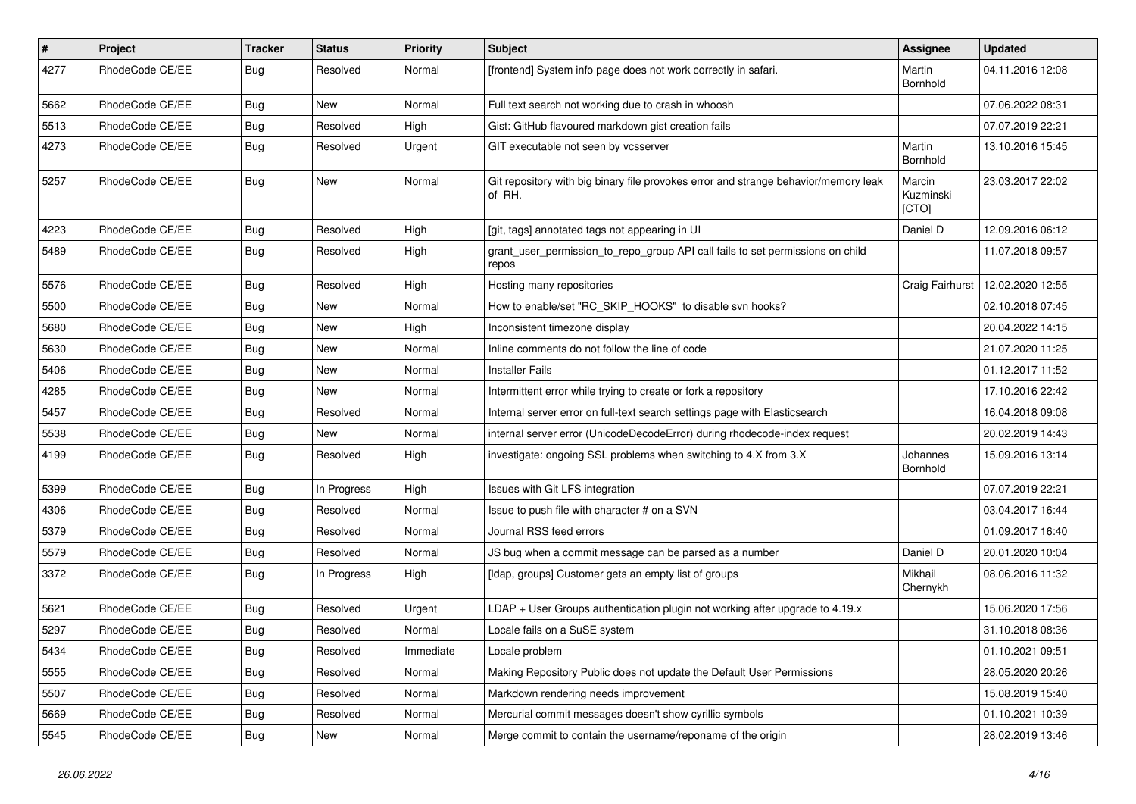| $\pmb{\#}$ | Project         | <b>Tracker</b> | <b>Status</b> | <b>Priority</b> | <b>Subject</b>                                                                                | Assignee                     | <b>Updated</b>   |
|------------|-----------------|----------------|---------------|-----------------|-----------------------------------------------------------------------------------------------|------------------------------|------------------|
| 4277       | RhodeCode CE/EE | <b>Bug</b>     | Resolved      | Normal          | [frontend] System info page does not work correctly in safari.                                | Martin<br>Bornhold           | 04.11.2016 12:08 |
| 5662       | RhodeCode CE/EE | Bug            | New           | Normal          | Full text search not working due to crash in whoosh                                           |                              | 07.06.2022 08:31 |
| 5513       | RhodeCode CE/EE | Bug            | Resolved      | High            | Gist: GitHub flavoured markdown gist creation fails                                           |                              | 07.07.2019 22:21 |
| 4273       | RhodeCode CE/EE | Bug            | Resolved      | Urgent          | GIT executable not seen by vcsserver                                                          | Martin<br>Bornhold           | 13.10.2016 15:45 |
| 5257       | RhodeCode CE/EE | <b>Bug</b>     | New           | Normal          | Git repository with big binary file provokes error and strange behavior/memory leak<br>of RH. | Marcin<br>Kuzminski<br>[CTO] | 23.03.2017 22:02 |
| 4223       | RhodeCode CE/EE | <b>Bug</b>     | Resolved      | High            | [git, tags] annotated tags not appearing in UI                                                | Daniel D                     | 12.09.2016 06:12 |
| 5489       | RhodeCode CE/EE | Bug            | Resolved      | High            | grant_user_permission_to_repo_group API call fails to set permissions on child<br>repos       |                              | 11.07.2018 09:57 |
| 5576       | RhodeCode CE/EE | Bug            | Resolved      | High            | Hosting many repositories                                                                     | Craig Fairhurst              | 12.02.2020 12:55 |
| 5500       | RhodeCode CE/EE | <b>Bug</b>     | New           | Normal          | How to enable/set "RC_SKIP_HOOKS" to disable svn hooks?                                       |                              | 02.10.2018 07:45 |
| 5680       | RhodeCode CE/EE | <b>Bug</b>     | New           | High            | Inconsistent timezone display                                                                 |                              | 20.04.2022 14:15 |
| 5630       | RhodeCode CE/EE | Bug            | New           | Normal          | Inline comments do not follow the line of code                                                |                              | 21.07.2020 11:25 |
| 5406       | RhodeCode CE/EE | <b>Bug</b>     | New           | Normal          | <b>Installer Fails</b>                                                                        |                              | 01.12.2017 11:52 |
| 4285       | RhodeCode CE/EE | <b>Bug</b>     | <b>New</b>    | Normal          | Intermittent error while trying to create or fork a repository                                |                              | 17.10.2016 22:42 |
| 5457       | RhodeCode CE/EE | Bug            | Resolved      | Normal          | Internal server error on full-text search settings page with Elasticsearch                    |                              | 16.04.2018 09:08 |
| 5538       | RhodeCode CE/EE | Bug            | New           | Normal          | internal server error (UnicodeDecodeError) during rhodecode-index request                     |                              | 20.02.2019 14:43 |
| 4199       | RhodeCode CE/EE | Bug            | Resolved      | High            | investigate: ongoing SSL problems when switching to 4.X from 3.X                              | Johannes<br>Bornhold         | 15.09.2016 13:14 |
| 5399       | RhodeCode CE/EE | <b>Bug</b>     | In Progress   | High            | Issues with Git LFS integration                                                               |                              | 07.07.2019 22:21 |
| 4306       | RhodeCode CE/EE | Bug            | Resolved      | Normal          | Issue to push file with character # on a SVN                                                  |                              | 03.04.2017 16:44 |
| 5379       | RhodeCode CE/EE | <b>Bug</b>     | Resolved      | Normal          | Journal RSS feed errors                                                                       |                              | 01.09.2017 16:40 |
| 5579       | RhodeCode CE/EE | Bug            | Resolved      | Normal          | JS bug when a commit message can be parsed as a number                                        | Daniel D                     | 20.01.2020 10:04 |
| 3372       | RhodeCode CE/EE | Bug            | In Progress   | High            | [Idap, groups] Customer gets an empty list of groups                                          | Mikhail<br>Chernykh          | 08.06.2016 11:32 |
| 5621       | RhodeCode CE/EE | Bug            | Resolved      | Urgent          | LDAP + User Groups authentication plugin not working after upgrade to 4.19.x                  |                              | 15.06.2020 17:56 |
| 5297       | RhodeCode CE/EE | Bug            | Resolved      | Normal          | Locale fails on a SuSE system                                                                 |                              | 31.10.2018 08:36 |
| 5434       | RhodeCode CE/EE | <b>Bug</b>     | Resolved      | Immediate       | Locale problem                                                                                |                              | 01.10.2021 09:51 |
| 5555       | RhodeCode CE/EE | Bug            | Resolved      | Normal          | Making Repository Public does not update the Default User Permissions                         |                              | 28.05.2020 20:26 |
| 5507       | RhodeCode CE/EE | <b>Bug</b>     | Resolved      | Normal          | Markdown rendering needs improvement                                                          |                              | 15.08.2019 15:40 |
| 5669       | RhodeCode CE/EE | Bug            | Resolved      | Normal          | Mercurial commit messages doesn't show cyrillic symbols                                       |                              | 01.10.2021 10:39 |
| 5545       | RhodeCode CE/EE | Bug            | New           | Normal          | Merge commit to contain the username/reponame of the origin                                   |                              | 28.02.2019 13:46 |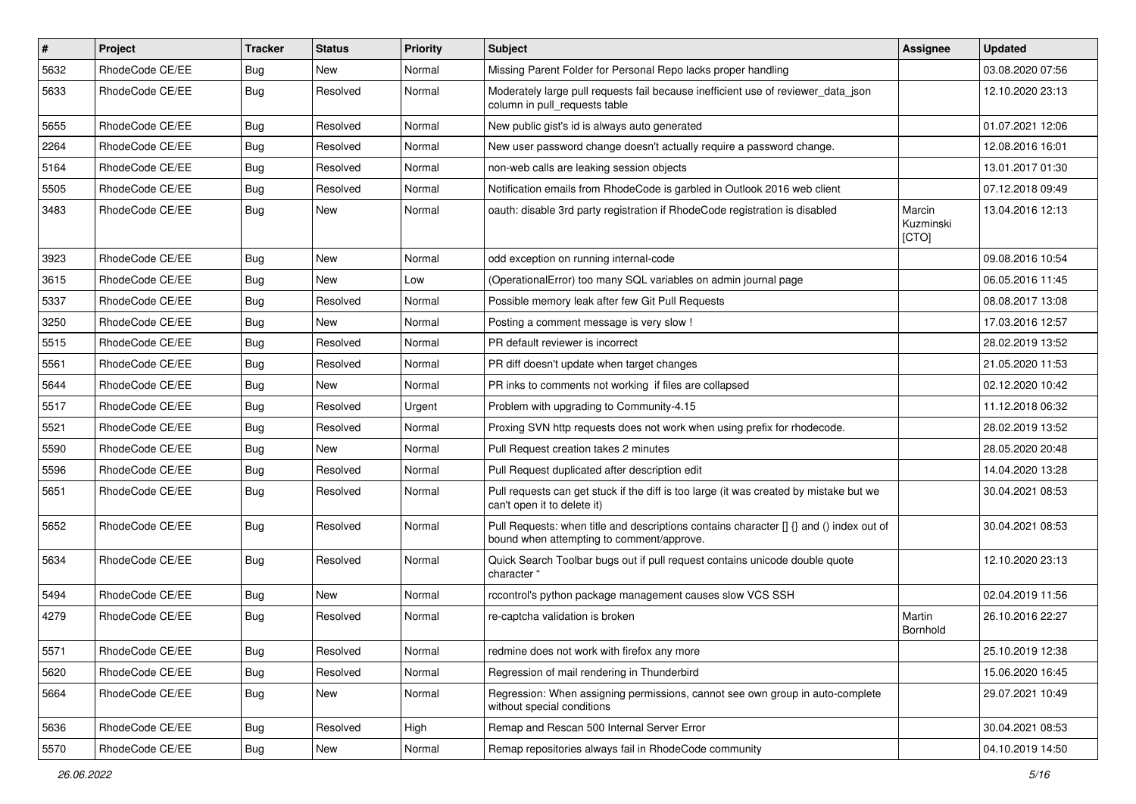| $\vert$ # | Project         | <b>Tracker</b> | <b>Status</b> | <b>Priority</b> | <b>Subject</b>                                                                                                                       | <b>Assignee</b>              | <b>Updated</b>   |
|-----------|-----------------|----------------|---------------|-----------------|--------------------------------------------------------------------------------------------------------------------------------------|------------------------------|------------------|
| 5632      | RhodeCode CE/EE | Bug            | New           | Normal          | Missing Parent Folder for Personal Repo lacks proper handling                                                                        |                              | 03.08.2020 07:56 |
| 5633      | RhodeCode CE/EE | Bug            | Resolved      | Normal          | Moderately large pull requests fail because inefficient use of reviewer_data_json<br>column in pull_requests table                   |                              | 12.10.2020 23:13 |
| 5655      | RhodeCode CE/EE | Bug            | Resolved      | Normal          | New public gist's id is always auto generated                                                                                        |                              | 01.07.2021 12:06 |
| 2264      | RhodeCode CE/EE | Bug            | Resolved      | Normal          | New user password change doesn't actually require a password change.                                                                 |                              | 12.08.2016 16:01 |
| 5164      | RhodeCode CE/EE | Bug            | Resolved      | Normal          | non-web calls are leaking session objects                                                                                            |                              | 13.01.2017 01:30 |
| 5505      | RhodeCode CE/EE | Bug            | Resolved      | Normal          | Notification emails from RhodeCode is garbled in Outlook 2016 web client                                                             |                              | 07.12.2018 09:49 |
| 3483      | RhodeCode CE/EE | Bug            | New           | Normal          | oauth: disable 3rd party registration if RhodeCode registration is disabled                                                          | Marcin<br>Kuzminski<br>[CTO] | 13.04.2016 12:13 |
| 3923      | RhodeCode CE/EE | Bug            | New           | Normal          | odd exception on running internal-code                                                                                               |                              | 09.08.2016 10:54 |
| 3615      | RhodeCode CE/EE | <b>Bug</b>     | New           | Low             | (OperationalError) too many SQL variables on admin journal page                                                                      |                              | 06.05.2016 11:45 |
| 5337      | RhodeCode CE/EE | Bug            | Resolved      | Normal          | Possible memory leak after few Git Pull Requests                                                                                     |                              | 08.08.2017 13:08 |
| 3250      | RhodeCode CE/EE | Bug            | New           | Normal          | Posting a comment message is very slow !                                                                                             |                              | 17.03.2016 12:57 |
| 5515      | RhodeCode CE/EE | <b>Bug</b>     | Resolved      | Normal          | PR default reviewer is incorrect                                                                                                     |                              | 28.02.2019 13:52 |
| 5561      | RhodeCode CE/EE | Bug            | Resolved      | Normal          | PR diff doesn't update when target changes                                                                                           |                              | 21.05.2020 11:53 |
| 5644      | RhodeCode CE/EE | Bug            | New           | Normal          | PR inks to comments not working if files are collapsed                                                                               |                              | 02.12.2020 10:42 |
| 5517      | RhodeCode CE/EE | Bug            | Resolved      | Urgent          | Problem with upgrading to Community-4.15                                                                                             |                              | 11.12.2018 06:32 |
| 5521      | RhodeCode CE/EE | Bug            | Resolved      | Normal          | Proxing SVN http requests does not work when using prefix for rhodecode.                                                             |                              | 28.02.2019 13:52 |
| 5590      | RhodeCode CE/EE | Bug            | New           | Normal          | Pull Request creation takes 2 minutes                                                                                                |                              | 28.05.2020 20:48 |
| 5596      | RhodeCode CE/EE | Bug            | Resolved      | Normal          | Pull Request duplicated after description edit                                                                                       |                              | 14.04.2020 13:28 |
| 5651      | RhodeCode CE/EE | Bug            | Resolved      | Normal          | Pull requests can get stuck if the diff is too large (it was created by mistake but we<br>can't open it to delete it)                |                              | 30.04.2021 08:53 |
| 5652      | RhodeCode CE/EE | Bug            | Resolved      | Normal          | Pull Requests: when title and descriptions contains character [] {} and () index out of<br>bound when attempting to comment/approve. |                              | 30.04.2021 08:53 |
| 5634      | RhodeCode CE/EE | Bug            | Resolved      | Normal          | Quick Search Toolbar bugs out if pull request contains unicode double quote<br>character "                                           |                              | 12.10.2020 23:13 |
| 5494      | RhodeCode CE/EE | Bug            | <b>New</b>    | Normal          | rccontrol's python package management causes slow VCS SSH                                                                            |                              | 02.04.2019 11:56 |
| 4279      | RhodeCode CE/EE | Bug            | Resolved      | Normal          | re-captcha validation is broken                                                                                                      | Martin<br>Bornhold           | 26.10.2016 22:27 |
| 5571      | RhodeCode CE/EE | <b>Bug</b>     | Resolved      | Normal          | redmine does not work with firefox any more                                                                                          |                              | 25.10.2019 12:38 |
| 5620      | RhodeCode CE/EE | Bug            | Resolved      | Normal          | Regression of mail rendering in Thunderbird                                                                                          |                              | 15.06.2020 16:45 |
| 5664      | RhodeCode CE/EE | <b>Bug</b>     | New           | Normal          | Regression: When assigning permissions, cannot see own group in auto-complete<br>without special conditions                          |                              | 29.07.2021 10:49 |
| 5636      | RhodeCode CE/EE | Bug            | Resolved      | High            | Remap and Rescan 500 Internal Server Error                                                                                           |                              | 30.04.2021 08:53 |
| 5570      | RhodeCode CE/EE | <b>Bug</b>     | New           | Normal          | Remap repositories always fail in RhodeCode community                                                                                |                              | 04.10.2019 14:50 |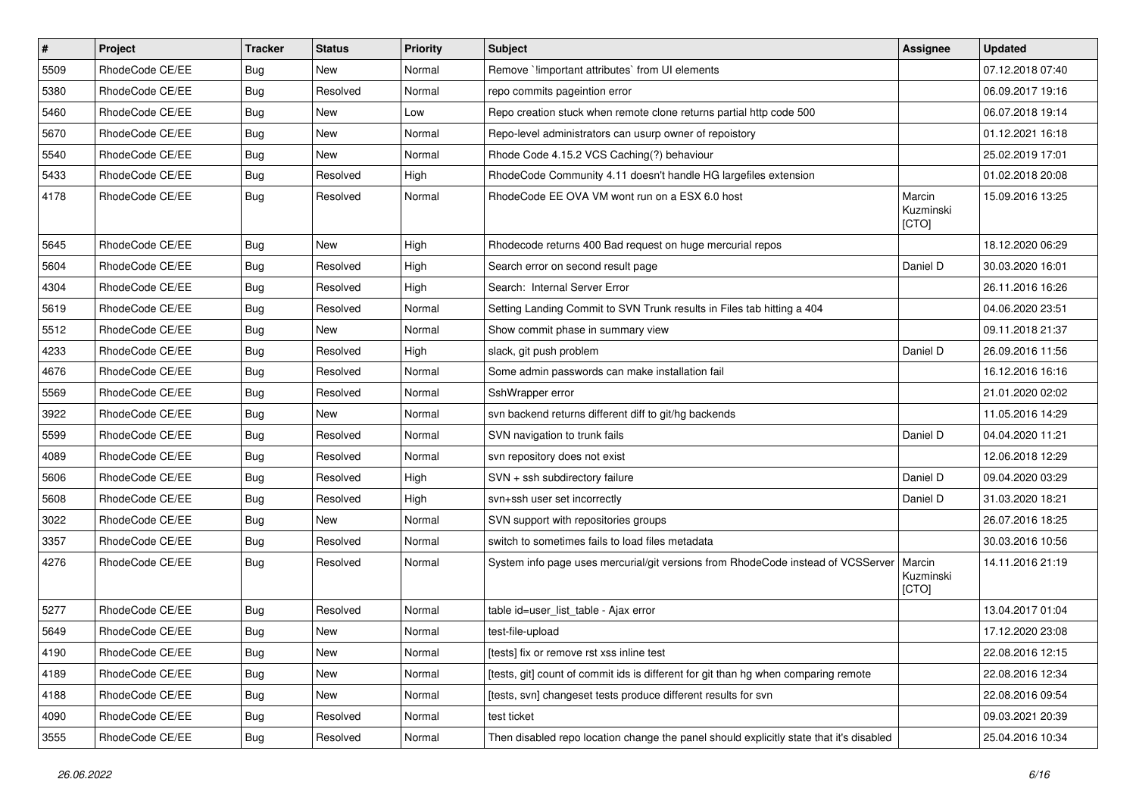| $\pmb{\#}$ | Project         | <b>Tracker</b> | <b>Status</b> | <b>Priority</b> | <b>Subject</b>                                                                          | Assignee                     | <b>Updated</b>   |
|------------|-----------------|----------------|---------------|-----------------|-----------------------------------------------------------------------------------------|------------------------------|------------------|
| 5509       | RhodeCode CE/EE | <b>Bug</b>     | New           | Normal          | Remove `limportant attributes` from UI elements                                         |                              | 07.12.2018 07:40 |
| 5380       | RhodeCode CE/EE | Bug            | Resolved      | Normal          | repo commits pageintion error                                                           |                              | 06.09.2017 19:16 |
| 5460       | RhodeCode CE/EE | Bug            | New           | Low             | Repo creation stuck when remote clone returns partial http code 500                     |                              | 06.07.2018 19:14 |
| 5670       | RhodeCode CE/EE | <b>Bug</b>     | New           | Normal          | Repo-level administrators can usurp owner of repoistory                                 |                              | 01.12.2021 16:18 |
| 5540       | RhodeCode CE/EE | <b>Bug</b>     | <b>New</b>    | Normal          | Rhode Code 4.15.2 VCS Caching(?) behaviour                                              |                              | 25.02.2019 17:01 |
| 5433       | RhodeCode CE/EE | Bug            | Resolved      | High            | RhodeCode Community 4.11 doesn't handle HG largefiles extension                         |                              | 01.02.2018 20:08 |
| 4178       | RhodeCode CE/EE | Bug            | Resolved      | Normal          | RhodeCode EE OVA VM wont run on a ESX 6.0 host                                          | Marcin<br>Kuzminski<br>[CTO] | 15.09.2016 13:25 |
| 5645       | RhodeCode CE/EE | <b>Bug</b>     | <b>New</b>    | High            | Rhodecode returns 400 Bad request on huge mercurial repos                               |                              | 18.12.2020 06:29 |
| 5604       | RhodeCode CE/EE | <b>Bug</b>     | Resolved      | High            | Search error on second result page                                                      | Daniel D                     | 30.03.2020 16:01 |
| 4304       | RhodeCode CE/EE | <b>Bug</b>     | Resolved      | High            | Search: Internal Server Error                                                           |                              | 26.11.2016 16:26 |
| 5619       | RhodeCode CE/EE | Bug            | Resolved      | Normal          | Setting Landing Commit to SVN Trunk results in Files tab hitting a 404                  |                              | 04.06.2020 23:51 |
| 5512       | RhodeCode CE/EE | <b>Bug</b>     | <b>New</b>    | Normal          | Show commit phase in summary view                                                       |                              | 09.11.2018 21:37 |
| 4233       | RhodeCode CE/EE | <b>Bug</b>     | Resolved      | High            | slack, git push problem                                                                 | Daniel D                     | 26.09.2016 11:56 |
| 4676       | RhodeCode CE/EE | <b>Bug</b>     | Resolved      | Normal          | Some admin passwords can make installation fail                                         |                              | 16.12.2016 16:16 |
| 5569       | RhodeCode CE/EE | <b>Bug</b>     | Resolved      | Normal          | SshWrapper error                                                                        |                              | 21.01.2020 02:02 |
| 3922       | RhodeCode CE/EE | <b>Bug</b>     | <b>New</b>    | Normal          | svn backend returns different diff to git/hg backends                                   |                              | 11.05.2016 14:29 |
| 5599       | RhodeCode CE/EE | Bug            | Resolved      | Normal          | SVN navigation to trunk fails                                                           | Daniel D                     | 04.04.2020 11:21 |
| 4089       | RhodeCode CE/EE | <b>Bug</b>     | Resolved      | Normal          | svn repository does not exist                                                           |                              | 12.06.2018 12:29 |
| 5606       | RhodeCode CE/EE | <b>Bug</b>     | Resolved      | High            | SVN + ssh subdirectory failure                                                          | Daniel D                     | 09.04.2020 03:29 |
| 5608       | RhodeCode CE/EE | <b>Bug</b>     | Resolved      | High            | svn+ssh user set incorrectly                                                            | Daniel D                     | 31.03.2020 18:21 |
| 3022       | RhodeCode CE/EE | <b>Bug</b>     | <b>New</b>    | Normal          | SVN support with repositories groups                                                    |                              | 26.07.2016 18:25 |
| 3357       | RhodeCode CE/EE | Bug            | Resolved      | Normal          | switch to sometimes fails to load files metadata                                        |                              | 30.03.2016 10:56 |
| 4276       | RhodeCode CE/EE | Bug            | Resolved      | Normal          | System info page uses mercurial/git versions from RhodeCode instead of VCSServer        | Marcin<br>Kuzminski<br>[CTO] | 14.11.2016 21:19 |
| 5277       | RhodeCode CE/EE | <b>Bug</b>     | Resolved      | Normal          | table id=user_list_table - Ajax error                                                   |                              | 13.04.2017 01:04 |
| 5649       | RhodeCode CE/EE | <b>Bug</b>     | <b>New</b>    | Normal          | test-file-upload                                                                        |                              | 17.12.2020 23:08 |
| 4190       | RhodeCode CE/EE | <b>Bug</b>     | New           | Normal          | [tests] fix or remove rst xss inline test                                               |                              | 22.08.2016 12:15 |
| 4189       | RhodeCode CE/EE | <b>Bug</b>     | New           | Normal          | [tests, git] count of commit ids is different for git than hg when comparing remote     |                              | 22.08.2016 12:34 |
| 4188       | RhodeCode CE/EE | <b>Bug</b>     | New           | Normal          | [tests, svn] changeset tests produce different results for svn                          |                              | 22.08.2016 09:54 |
| 4090       | RhodeCode CE/EE | <b>Bug</b>     | Resolved      | Normal          | test ticket                                                                             |                              | 09.03.2021 20:39 |
| 3555       | RhodeCode CE/EE | <b>Bug</b>     | Resolved      | Normal          | Then disabled repo location change the panel should explicitly state that it's disabled |                              | 25.04.2016 10:34 |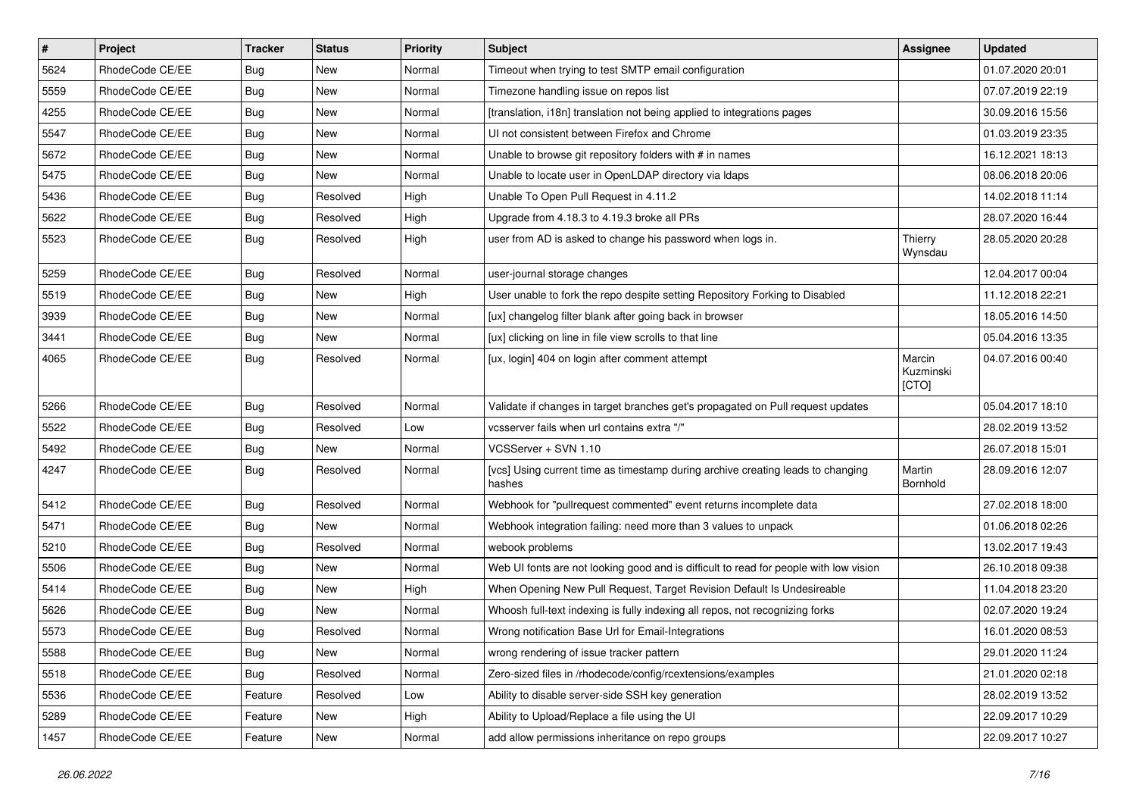| $\vert$ # | Project         | <b>Tracker</b> | <b>Status</b> | <b>Priority</b> | Subject                                                                                   | <b>Assignee</b>              | <b>Updated</b>   |
|-----------|-----------------|----------------|---------------|-----------------|-------------------------------------------------------------------------------------------|------------------------------|------------------|
| 5624      | RhodeCode CE/EE | Bug            | New           | Normal          | Timeout when trying to test SMTP email configuration                                      |                              | 01.07.2020 20:01 |
| 5559      | RhodeCode CE/EE | Bug            | <b>New</b>    | Normal          | Timezone handling issue on repos list                                                     |                              | 07.07.2019 22:19 |
| 4255      | RhodeCode CE/EE | Bug            | New           | Normal          | [translation, i18n] translation not being applied to integrations pages                   |                              | 30.09.2016 15:56 |
| 5547      | RhodeCode CE/EE | Bug            | New           | Normal          | UI not consistent between Firefox and Chrome                                              |                              | 01.03.2019 23:35 |
| 5672      | RhodeCode CE/EE | Bug            | <b>New</b>    | Normal          | Unable to browse git repository folders with # in names                                   |                              | 16.12.2021 18:13 |
| 5475      | RhodeCode CE/EE | Bug            | <b>New</b>    | Normal          | Unable to locate user in OpenLDAP directory via Idaps                                     |                              | 08.06.2018 20:06 |
| 5436      | RhodeCode CE/EE | Bug            | Resolved      | High            | Unable To Open Pull Request in 4.11.2                                                     |                              | 14.02.2018 11:14 |
| 5622      | RhodeCode CE/EE | Bug            | Resolved      | High            | Upgrade from 4.18.3 to 4.19.3 broke all PRs                                               |                              | 28.07.2020 16:44 |
| 5523      | RhodeCode CE/EE | Bug            | Resolved      | High            | user from AD is asked to change his password when logs in.                                | Thierry<br>Wynsdau           | 28.05.2020 20:28 |
| 5259      | RhodeCode CE/EE | <b>Bug</b>     | Resolved      | Normal          | user-journal storage changes                                                              |                              | 12.04.2017 00:04 |
| 5519      | RhodeCode CE/EE | Bug            | New           | High            | User unable to fork the repo despite setting Repository Forking to Disabled               |                              | 11.12.2018 22:21 |
| 3939      | RhodeCode CE/EE | Bug            | <b>New</b>    | Normal          | [ux] changelog filter blank after going back in browser                                   |                              | 18.05.2016 14:50 |
| 3441      | RhodeCode CE/EE | Bug            | New           | Normal          | [ux] clicking on line in file view scrolls to that line                                   |                              | 05.04.2016 13:35 |
| 4065      | RhodeCode CE/EE | Bug            | Resolved      | Normal          | [ux, login] 404 on login after comment attempt                                            | Marcin<br>Kuzminski<br>[CTO] | 04.07.2016 00:40 |
| 5266      | RhodeCode CE/EE | Bug            | Resolved      | Normal          | Validate if changes in target branches get's propagated on Pull request updates           |                              | 05.04.2017 18:10 |
| 5522      | RhodeCode CE/EE | Bug            | Resolved      | Low             | vcsserver fails when url contains extra "/"                                               |                              | 28.02.2019 13:52 |
| 5492      | RhodeCode CE/EE | Bug            | <b>New</b>    | Normal          | VCSServer + SVN 1.10                                                                      |                              | 26.07.2018 15:01 |
| 4247      | RhodeCode CE/EE | Bug            | Resolved      | Normal          | [vcs] Using current time as timestamp during archive creating leads to changing<br>hashes | Martin<br>Bornhold           | 28.09.2016 12:07 |
| 5412      | RhodeCode CE/EE | Bug            | Resolved      | Normal          | Webhook for "pullrequest commented" event returns incomplete data                         |                              | 27.02.2018 18:00 |
| 5471      | RhodeCode CE/EE | <b>Bug</b>     | <b>New</b>    | Normal          | Webhook integration failing: need more than 3 values to unpack                            |                              | 01.06.2018 02:26 |
| 5210      | RhodeCode CE/EE | <b>Bug</b>     | Resolved      | Normal          | webook problems                                                                           |                              | 13.02.2017 19:43 |
| 5506      | RhodeCode CE/EE | Bug            | New           | Normal          | Web UI fonts are not looking good and is difficult to read for people with low vision     |                              | 26.10.2018 09:38 |
| 5414      | RhodeCode CE/EE | Bug            | New           | High            | When Opening New Pull Request, Target Revision Default Is Undesireable                    |                              | 11.04.2018 23:20 |
| 5626      | RhodeCode CE/EE | Bug            | New           | Normal          | Whoosh full-text indexing is fully indexing all repos, not recognizing forks              |                              | 02.07.2020 19:24 |
| 5573      | RhodeCode CE/EE | Bug            | Resolved      | Normal          | Wrong notification Base Url for Email-Integrations                                        |                              | 16.01.2020 08:53 |
| 5588      | RhodeCode CE/EE | <b>Bug</b>     | New           | Normal          | wrong rendering of issue tracker pattern                                                  |                              | 29.01.2020 11:24 |
| 5518      | RhodeCode CE/EE | <b>Bug</b>     | Resolved      | Normal          | Zero-sized files in /rhodecode/config/rcextensions/examples                               |                              | 21.01.2020 02:18 |
| 5536      | RhodeCode CE/EE | Feature        | Resolved      | Low             | Ability to disable server-side SSH key generation                                         |                              | 28.02.2019 13:52 |
| 5289      | RhodeCode CE/EE | Feature        | New           | High            | Ability to Upload/Replace a file using the UI                                             |                              | 22.09.2017 10:29 |
| 1457      | RhodeCode CE/EE | Feature        | New           | Normal          | add allow permissions inheritance on repo groups                                          |                              | 22.09.2017 10:27 |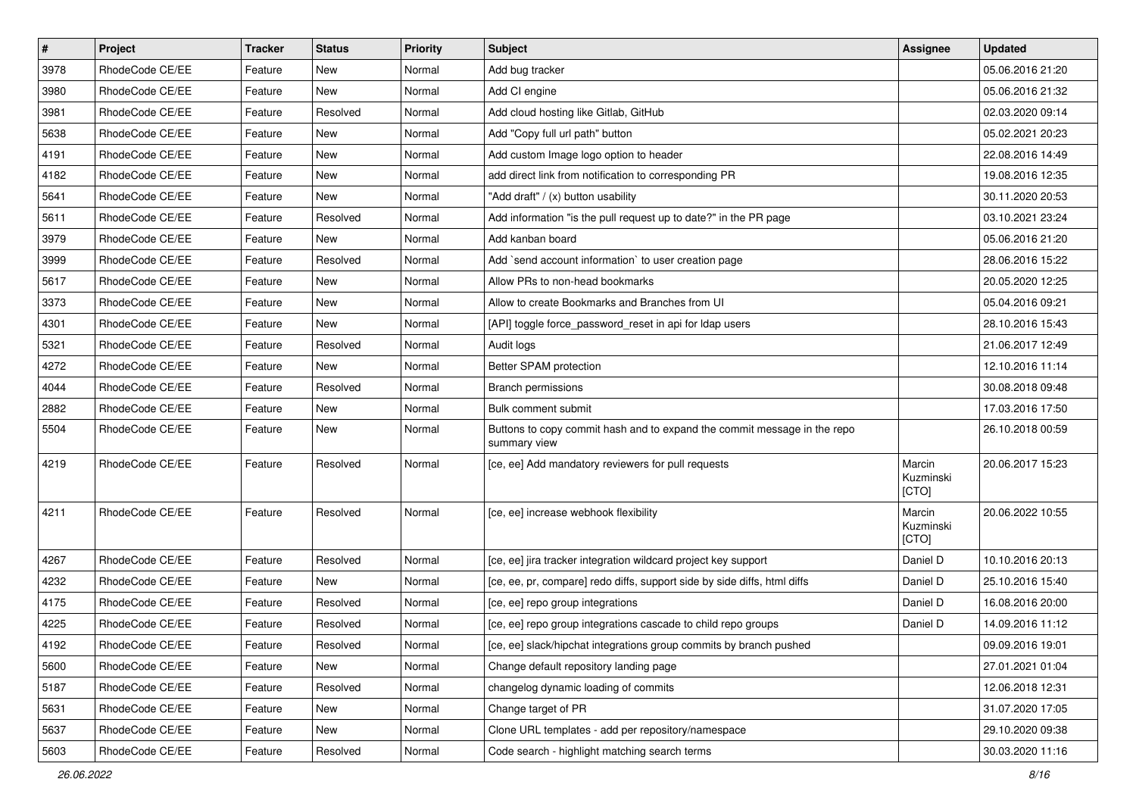| $\pmb{\#}$ | Project         | <b>Tracker</b> | <b>Status</b> | <b>Priority</b> | <b>Subject</b>                                                                           | <b>Assignee</b>              | <b>Updated</b>   |
|------------|-----------------|----------------|---------------|-----------------|------------------------------------------------------------------------------------------|------------------------------|------------------|
| 3978       | RhodeCode CE/EE | Feature        | New           | Normal          | Add bug tracker                                                                          |                              | 05.06.2016 21:20 |
| 3980       | RhodeCode CE/EE | Feature        | New           | Normal          | Add CI engine                                                                            |                              | 05.06.2016 21:32 |
| 3981       | RhodeCode CE/EE | Feature        | Resolved      | Normal          | Add cloud hosting like Gitlab, GitHub                                                    |                              | 02.03.2020 09:14 |
| 5638       | RhodeCode CE/EE | Feature        | New           | Normal          | Add "Copy full url path" button                                                          |                              | 05.02.2021 20:23 |
| 4191       | RhodeCode CE/EE | Feature        | <b>New</b>    | Normal          | Add custom Image logo option to header                                                   |                              | 22.08.2016 14:49 |
| 4182       | RhodeCode CE/EE | Feature        | New           | Normal          | add direct link from notification to corresponding PR                                    |                              | 19.08.2016 12:35 |
| 5641       | RhodeCode CE/EE | Feature        | <b>New</b>    | Normal          | "Add draft" / (x) button usability                                                       |                              | 30.11.2020 20:53 |
| 5611       | RhodeCode CE/EE | Feature        | Resolved      | Normal          | Add information "is the pull request up to date?" in the PR page                         |                              | 03.10.2021 23:24 |
| 3979       | RhodeCode CE/EE | Feature        | <b>New</b>    | Normal          | Add kanban board                                                                         |                              | 05.06.2016 21:20 |
| 3999       | RhodeCode CE/EE | Feature        | Resolved      | Normal          | Add `send account information` to user creation page                                     |                              | 28.06.2016 15:22 |
| 5617       | RhodeCode CE/EE | Feature        | New           | Normal          | Allow PRs to non-head bookmarks                                                          |                              | 20.05.2020 12:25 |
| 3373       | RhodeCode CE/EE | Feature        | New           | Normal          | Allow to create Bookmarks and Branches from UI                                           |                              | 05.04.2016 09:21 |
| 4301       | RhodeCode CE/EE | Feature        | <b>New</b>    | Normal          | [API] toggle force_password_reset in api for Idap users                                  |                              | 28.10.2016 15:43 |
| 5321       | RhodeCode CE/EE | Feature        | Resolved      | Normal          | Audit logs                                                                               |                              | 21.06.2017 12:49 |
| 4272       | RhodeCode CE/EE | Feature        | <b>New</b>    | Normal          | Better SPAM protection                                                                   |                              | 12.10.2016 11:14 |
| 4044       | RhodeCode CE/EE | Feature        | Resolved      | Normal          | Branch permissions                                                                       |                              | 30.08.2018 09:48 |
| 2882       | RhodeCode CE/EE | Feature        | New           | Normal          | Bulk comment submit                                                                      |                              | 17.03.2016 17:50 |
| 5504       | RhodeCode CE/EE | Feature        | <b>New</b>    | Normal          | Buttons to copy commit hash and to expand the commit message in the repo<br>summary view |                              | 26.10.2018 00:59 |
| 4219       | RhodeCode CE/EE | Feature        | Resolved      | Normal          | [ce, ee] Add mandatory reviewers for pull requests                                       | Marcin<br>Kuzminski<br>[CTO] | 20.06.2017 15:23 |
| 4211       | RhodeCode CE/EE | Feature        | Resolved      | Normal          | [ce, ee] increase webhook flexibility                                                    | Marcin<br>Kuzminski<br>[CTO] | 20.06.2022 10:55 |
| 4267       | RhodeCode CE/EE | Feature        | Resolved      | Normal          | [ce, ee] jira tracker integration wildcard project key support                           | Daniel D                     | 10.10.2016 20:13 |
| 4232       | RhodeCode CE/EE | Feature        | New           | Normal          | [ce, ee, pr, compare] redo diffs, support side by side diffs, html diffs                 | Daniel D                     | 25.10.2016 15:40 |
| 4175       | RhodeCode CE/EE | Feature        | Resolved      | Normal          | [ce, ee] repo group integrations                                                         | Daniel D                     | 16.08.2016 20:00 |
| 4225       | RhodeCode CE/EE | Feature        | Resolved      | Normal          | [ce, ee] repo group integrations cascade to child repo groups                            | Daniel D                     | 14.09.2016 11:12 |
| 4192       | RhodeCode CE/EE | Feature        | Resolved      | Normal          | [ce, ee] slack/hipchat integrations group commits by branch pushed                       |                              | 09.09.2016 19:01 |
| 5600       | RhodeCode CE/EE | Feature        | New           | Normal          | Change default repository landing page                                                   |                              | 27.01.2021 01:04 |
| 5187       | RhodeCode CE/EE | Feature        | Resolved      | Normal          | changelog dynamic loading of commits                                                     |                              | 12.06.2018 12:31 |
| 5631       | RhodeCode CE/EE | Feature        | New           | Normal          | Change target of PR                                                                      |                              | 31.07.2020 17:05 |
| 5637       | RhodeCode CE/EE | Feature        | New           | Normal          | Clone URL templates - add per repository/namespace                                       |                              | 29.10.2020 09:38 |
| 5603       | RhodeCode CE/EE | Feature        | Resolved      | Normal          | Code search - highlight matching search terms                                            |                              | 30.03.2020 11:16 |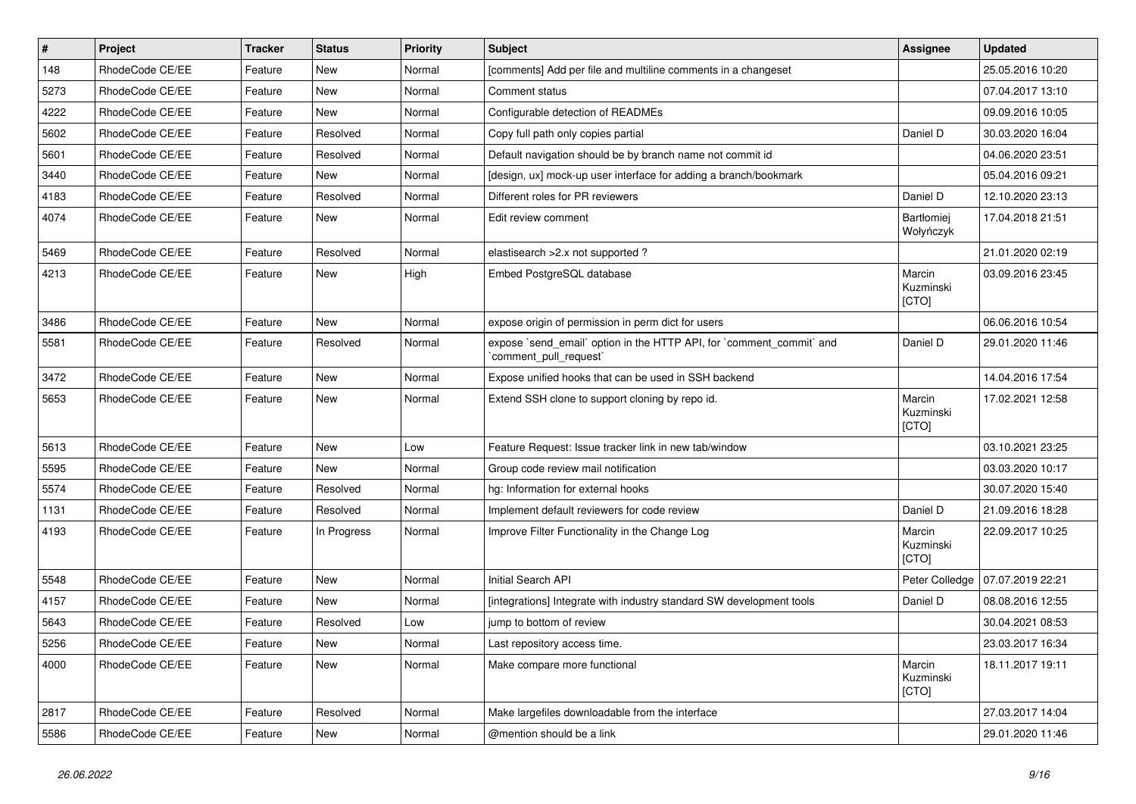| $\sharp$ | Project         | <b>Tracker</b> | <b>Status</b> | Priority | <b>Subject</b>                                                                                 | <b>Assignee</b>                | <b>Updated</b>   |
|----------|-----------------|----------------|---------------|----------|------------------------------------------------------------------------------------------------|--------------------------------|------------------|
| 148      | RhodeCode CE/EE | Feature        | New           | Normal   | [comments] Add per file and multiline comments in a changeset                                  |                                | 25.05.2016 10:20 |
| 5273     | RhodeCode CE/EE | Feature        | New           | Normal   | Comment status                                                                                 |                                | 07.04.2017 13:10 |
| 4222     | RhodeCode CE/EE | Feature        | New           | Normal   | Configurable detection of READMEs                                                              |                                | 09.09.2016 10:05 |
| 5602     | RhodeCode CE/EE | Feature        | Resolved      | Normal   | Copy full path only copies partial                                                             | Daniel D                       | 30.03.2020 16:04 |
| 5601     | RhodeCode CE/EE | Feature        | Resolved      | Normal   | Default navigation should be by branch name not commit id                                      |                                | 04.06.2020 23:51 |
| 3440     | RhodeCode CE/EE | Feature        | <b>New</b>    | Normal   | [design, ux] mock-up user interface for adding a branch/bookmark                               |                                | 05.04.2016 09:21 |
| 4183     | RhodeCode CE/EE | Feature        | Resolved      | Normal   | Different roles for PR reviewers                                                               | Daniel D                       | 12.10.2020 23:13 |
| 4074     | RhodeCode CE/EE | Feature        | New           | Normal   | Edit review comment                                                                            | <b>Bartłomiej</b><br>Wołyńczyk | 17.04.2018 21:51 |
| 5469     | RhodeCode CE/EE | Feature        | Resolved      | Normal   | elastisearch > 2.x not supported?                                                              |                                | 21.01.2020 02:19 |
| 4213     | RhodeCode CE/EE | Feature        | New           | High     | Embed PostgreSQL database                                                                      | Marcin<br>Kuzminski<br>[CTO]   | 03.09.2016 23:45 |
| 3486     | RhodeCode CE/EE | Feature        | <b>New</b>    | Normal   | expose origin of permission in perm dict for users                                             |                                | 06.06.2016 10:54 |
| 5581     | RhodeCode CE/EE | Feature        | Resolved      | Normal   | expose `send_email` option in the HTTP API, for `comment_commit` and<br>`comment_pull_request` | Daniel D                       | 29.01.2020 11:46 |
| 3472     | RhodeCode CE/EE | Feature        | <b>New</b>    | Normal   | Expose unified hooks that can be used in SSH backend                                           |                                | 14.04.2016 17:54 |
| 5653     | RhodeCode CE/EE | Feature        | New           | Normal   | Extend SSH clone to support cloning by repo id.                                                | Marcin<br>Kuzminski<br>[CTO]   | 17.02.2021 12:58 |
| 5613     | RhodeCode CE/EE | Feature        | <b>New</b>    | Low      | Feature Request: Issue tracker link in new tab/window                                          |                                | 03.10.2021 23:25 |
| 5595     | RhodeCode CE/EE | Feature        | New           | Normal   | Group code review mail notification                                                            |                                | 03.03.2020 10:17 |
| 5574     | RhodeCode CE/EE | Feature        | Resolved      | Normal   | hg: Information for external hooks                                                             |                                | 30.07.2020 15:40 |
| 1131     | RhodeCode CE/EE | Feature        | Resolved      | Normal   | Implement default reviewers for code review                                                    | Daniel D                       | 21.09.2016 18:28 |
| 4193     | RhodeCode CE/EE | Feature        | In Progress   | Normal   | Improve Filter Functionality in the Change Log                                                 | Marcin<br>Kuzminski<br>[CTO]   | 22.09.2017 10:25 |
| 5548     | RhodeCode CE/EE | Feature        | <b>New</b>    | Normal   | <b>Initial Search API</b>                                                                      | Peter Colledge                 | 07.07.2019 22:21 |
| 4157     | RhodeCode CE/EE | Feature        | <b>New</b>    | Normal   | [integrations] Integrate with industry standard SW development tools                           | Daniel D                       | 08.08.2016 12:55 |
| 5643     | RhodeCode CE/EE | Feature        | Resolved      | Low      | jump to bottom of review                                                                       |                                | 30.04.2021 08:53 |
| 5256     | RhodeCode CE/EE | Feature        | New           | Normal   | Last repository access time.                                                                   |                                | 23.03.2017 16:34 |
| 4000     | RhodeCode CE/EE | Feature        | New           | Normal   | Make compare more functional                                                                   | Marcin<br>Kuzminski<br>[CTO]   | 18.11.2017 19:11 |
| 2817     | RhodeCode CE/EE | Feature        | Resolved      | Normal   | Make largefiles downloadable from the interface                                                |                                | 27.03.2017 14:04 |
| 5586     | RhodeCode CE/EE | Feature        | New           | Normal   | @mention should be a link                                                                      |                                | 29.01.2020 11:46 |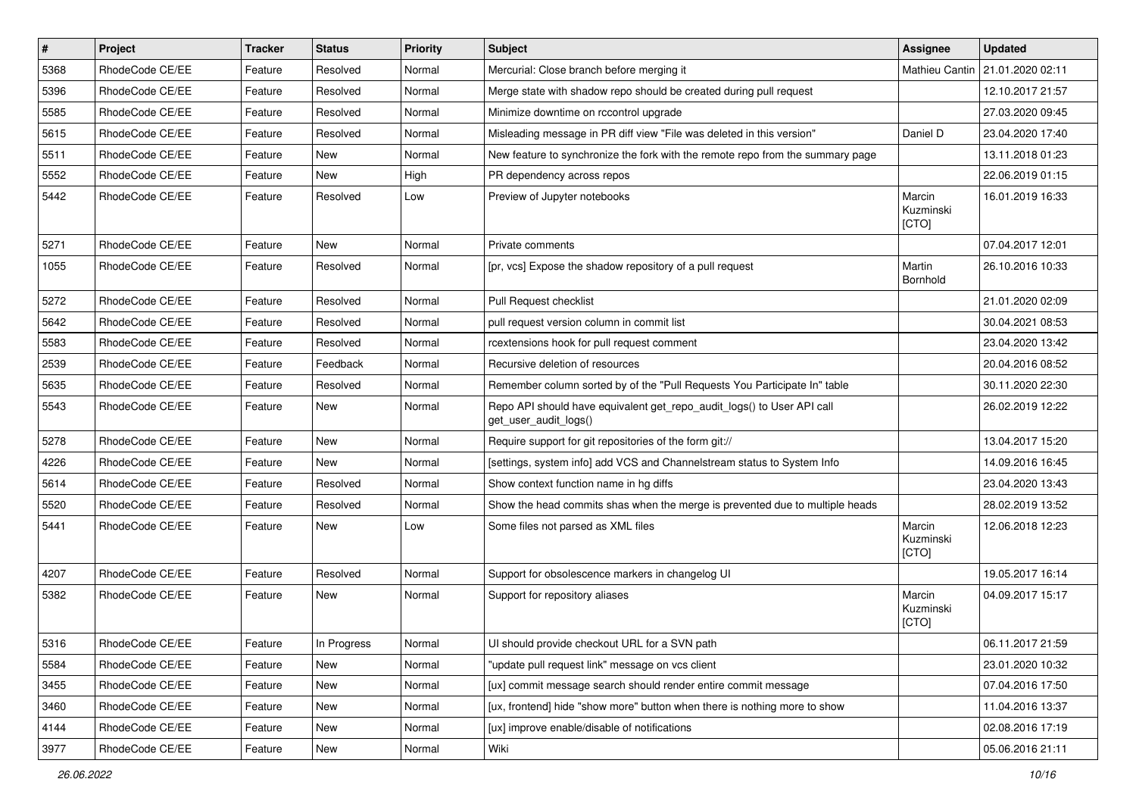| $\pmb{\#}$ | Project         | <b>Tracker</b> | <b>Status</b> | Priority | Subject                                                                                         | <b>Assignee</b>              | <b>Updated</b>   |
|------------|-----------------|----------------|---------------|----------|-------------------------------------------------------------------------------------------------|------------------------------|------------------|
| 5368       | RhodeCode CE/EE | Feature        | Resolved      | Normal   | Mercurial: Close branch before merging it                                                       | Mathieu Cantin               | 21.01.2020 02:11 |
| 5396       | RhodeCode CE/EE | Feature        | Resolved      | Normal   | Merge state with shadow repo should be created during pull request                              |                              | 12.10.2017 21:57 |
| 5585       | RhodeCode CE/EE | Feature        | Resolved      | Normal   | Minimize downtime on rccontrol upgrade                                                          |                              | 27.03.2020 09:45 |
| 5615       | RhodeCode CE/EE | Feature        | Resolved      | Normal   | Misleading message in PR diff view "File was deleted in this version"                           | Daniel D                     | 23.04.2020 17:40 |
| 5511       | RhodeCode CE/EE | Feature        | <b>New</b>    | Normal   | New feature to synchronize the fork with the remote repo from the summary page                  |                              | 13.11.2018 01:23 |
| 5552       | RhodeCode CE/EE | Feature        | <b>New</b>    | High     | PR dependency across repos                                                                      |                              | 22.06.2019 01:15 |
| 5442       | RhodeCode CE/EE | Feature        | Resolved      | Low      | Preview of Jupyter notebooks                                                                    | Marcin<br>Kuzminski<br>[CTO] | 16.01.2019 16:33 |
| 5271       | RhodeCode CE/EE | Feature        | <b>New</b>    | Normal   | Private comments                                                                                |                              | 07.04.2017 12:01 |
| 1055       | RhodeCode CE/EE | Feature        | Resolved      | Normal   | [pr, vcs] Expose the shadow repository of a pull request                                        | Martin<br>Bornhold           | 26.10.2016 10:33 |
| 5272       | RhodeCode CE/EE | Feature        | Resolved      | Normal   | Pull Request checklist                                                                          |                              | 21.01.2020 02:09 |
| 5642       | RhodeCode CE/EE | Feature        | Resolved      | Normal   | pull request version column in commit list                                                      |                              | 30.04.2021 08:53 |
| 5583       | RhodeCode CE/EE | Feature        | Resolved      | Normal   | rcextensions hook for pull request comment                                                      |                              | 23.04.2020 13:42 |
| 2539       | RhodeCode CE/EE | Feature        | Feedback      | Normal   | Recursive deletion of resources                                                                 |                              | 20.04.2016 08:52 |
| 5635       | RhodeCode CE/EE | Feature        | Resolved      | Normal   | Remember column sorted by of the "Pull Requests You Participate In" table                       |                              | 30.11.2020 22:30 |
| 5543       | RhodeCode CE/EE | Feature        | New           | Normal   | Repo API should have equivalent get_repo_audit_logs() to User API call<br>get_user_audit_logs() |                              | 26.02.2019 12:22 |
| 5278       | RhodeCode CE/EE | Feature        | <b>New</b>    | Normal   | Require support for git repositories of the form git://                                         |                              | 13.04.2017 15:20 |
| 4226       | RhodeCode CE/EE | Feature        | <b>New</b>    | Normal   | [settings, system info] add VCS and Channelstream status to System Info                         |                              | 14.09.2016 16:45 |
| 5614       | RhodeCode CE/EE | Feature        | Resolved      | Normal   | Show context function name in hg diffs                                                          |                              | 23.04.2020 13:43 |
| 5520       | RhodeCode CE/EE | Feature        | Resolved      | Normal   | Show the head commits shas when the merge is prevented due to multiple heads                    |                              | 28.02.2019 13:52 |
| 5441       | RhodeCode CE/EE | Feature        | <b>New</b>    | Low      | Some files not parsed as XML files                                                              | Marcin<br>Kuzminski<br>[CTO] | 12.06.2018 12:23 |
| 4207       | RhodeCode CE/EE | Feature        | Resolved      | Normal   | Support for obsolescence markers in changelog UI                                                |                              | 19.05.2017 16:14 |
| 5382       | RhodeCode CE/EE | Feature        | <b>New</b>    | Normal   | Support for repository aliases                                                                  | Marcin<br>Kuzminski<br>[CTO] | 04.09.2017 15:17 |
| 5316       | RhodeCode CE/EE | Feature        | In Progress   | Normal   | UI should provide checkout URL for a SVN path                                                   |                              | 06.11.2017 21:59 |
| 5584       | RhodeCode CE/EE | Feature        | <b>New</b>    | Normal   | "update pull request link" message on vcs client                                                |                              | 23.01.2020 10:32 |
| 3455       | RhodeCode CE/EE | Feature        | New           | Normal   | [ux] commit message search should render entire commit message                                  |                              | 07.04.2016 17:50 |
| 3460       | RhodeCode CE/EE | Feature        | New           | Normal   | [ux, frontend] hide "show more" button when there is nothing more to show                       |                              | 11.04.2016 13:37 |
| 4144       | RhodeCode CE/EE | Feature        | New           | Normal   | [ux] improve enable/disable of notifications                                                    |                              | 02.08.2016 17:19 |
| 3977       | RhodeCode CE/EE | Feature        | New           | Normal   | Wiki                                                                                            |                              | 05.06.2016 21:11 |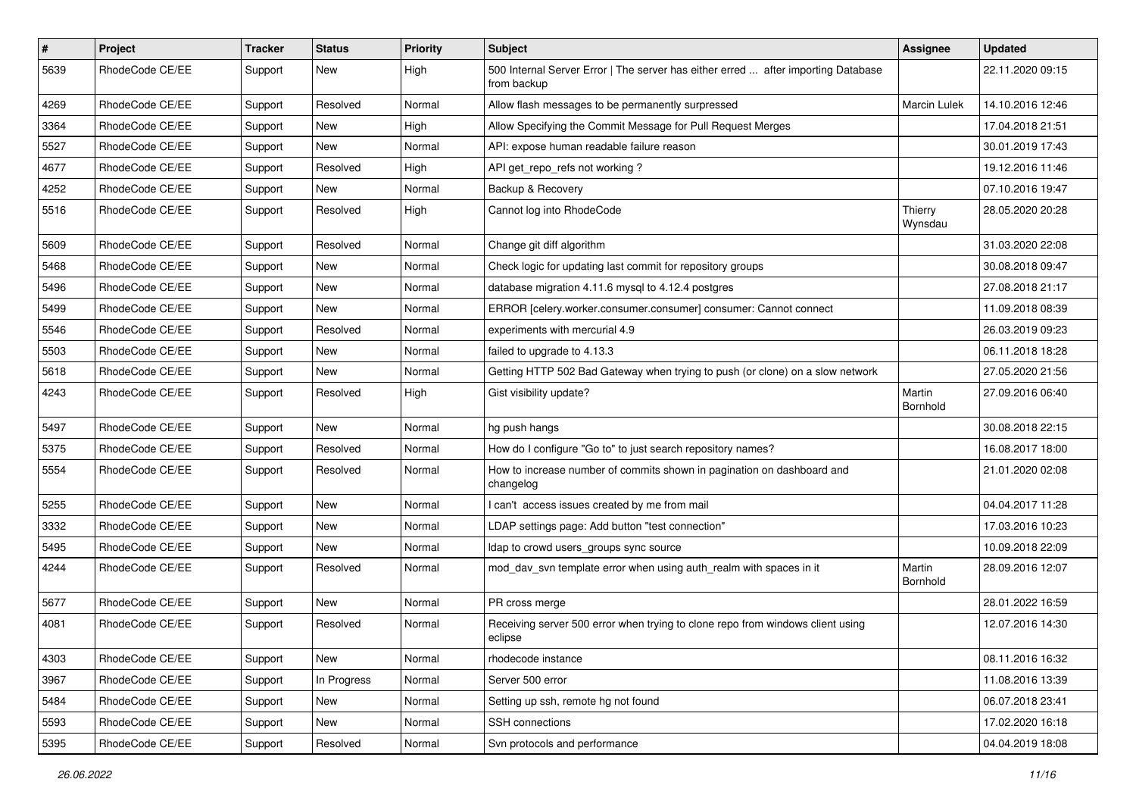| $\vert$ # | Project         | <b>Tracker</b> | <b>Status</b> | <b>Priority</b> | <b>Subject</b>                                                                                   | Assignee                  | <b>Updated</b>   |
|-----------|-----------------|----------------|---------------|-----------------|--------------------------------------------------------------------------------------------------|---------------------------|------------------|
| 5639      | RhodeCode CE/EE | Support        | New           | High            | 500 Internal Server Error   The server has either erred  after importing Database<br>from backup |                           | 22.11.2020 09:15 |
| 4269      | RhodeCode CE/EE | Support        | Resolved      | Normal          | Allow flash messages to be permanently surpressed                                                | Marcin Lulek              | 14.10.2016 12:46 |
| 3364      | RhodeCode CE/EE | Support        | New           | High            | Allow Specifying the Commit Message for Pull Request Merges                                      |                           | 17.04.2018 21:51 |
| 5527      | RhodeCode CE/EE | Support        | New           | Normal          | API: expose human readable failure reason                                                        |                           | 30.01.2019 17:43 |
| 4677      | RhodeCode CE/EE | Support        | Resolved      | High            | API get repo refs not working?                                                                   |                           | 19.12.2016 11:46 |
| 4252      | RhodeCode CE/EE | Support        | New           | Normal          | Backup & Recovery                                                                                |                           | 07.10.2016 19:47 |
| 5516      | RhodeCode CE/EE | Support        | Resolved      | High            | Cannot log into RhodeCode                                                                        | Thierry<br>Wynsdau        | 28.05.2020 20:28 |
| 5609      | RhodeCode CE/EE | Support        | Resolved      | Normal          | Change git diff algorithm                                                                        |                           | 31.03.2020 22:08 |
| 5468      | RhodeCode CE/EE | Support        | New           | Normal          | Check logic for updating last commit for repository groups                                       |                           | 30.08.2018 09:47 |
| 5496      | RhodeCode CE/EE | Support        | New           | Normal          | database migration 4.11.6 mysql to 4.12.4 postgres                                               |                           | 27.08.2018 21:17 |
| 5499      | RhodeCode CE/EE | Support        | New           | Normal          | ERROR [celery.worker.consumer.consumer] consumer: Cannot connect                                 |                           | 11.09.2018 08:39 |
| 5546      | RhodeCode CE/EE | Support        | Resolved      | Normal          | experiments with mercurial 4.9                                                                   |                           | 26.03.2019 09:23 |
| 5503      | RhodeCode CE/EE | Support        | <b>New</b>    | Normal          | failed to upgrade to 4.13.3                                                                      |                           | 06.11.2018 18:28 |
| 5618      | RhodeCode CE/EE | Support        | New           | Normal          | Getting HTTP 502 Bad Gateway when trying to push (or clone) on a slow network                    |                           | 27.05.2020 21:56 |
| 4243      | RhodeCode CE/EE | Support        | Resolved      | High            | Gist visibility update?                                                                          | Martin<br><b>Bornhold</b> | 27.09.2016 06:40 |
| 5497      | RhodeCode CE/EE | Support        | <b>New</b>    | Normal          | hg push hangs                                                                                    |                           | 30.08.2018 22:15 |
| 5375      | RhodeCode CE/EE | Support        | Resolved      | Normal          | How do I configure "Go to" to just search repository names?                                      |                           | 16.08.2017 18:00 |
| 5554      | RhodeCode CE/EE | Support        | Resolved      | Normal          | How to increase number of commits shown in pagination on dashboard and<br>changelog              |                           | 21.01.2020 02:08 |
| 5255      | RhodeCode CE/EE | Support        | New           | Normal          | I can't access issues created by me from mail                                                    |                           | 04.04.2017 11:28 |
| 3332      | RhodeCode CE/EE | Support        | New           | Normal          | LDAP settings page: Add button "test connection"                                                 |                           | 17.03.2016 10:23 |
| 5495      | RhodeCode CE/EE | Support        | <b>New</b>    | Normal          | Idap to crowd users_groups sync source                                                           |                           | 10.09.2018 22:09 |
| 4244      | RhodeCode CE/EE | Support        | Resolved      | Normal          | mod dav svn template error when using auth realm with spaces in it                               | Martin<br>Bornhold        | 28.09.2016 12:07 |
| 5677      | RhodeCode CE/EE | Support        | New           | Normal          | PR cross merge                                                                                   |                           | 28.01.2022 16:59 |
| 4081      | RhodeCode CE/EE | Support        | Resolved      | Normal          | Receiving server 500 error when trying to clone repo from windows client using<br>eclipse        |                           | 12.07.2016 14:30 |
| 4303      | RhodeCode CE/EE | Support        | New           | Normal          | rhodecode instance                                                                               |                           | 08.11.2016 16:32 |
| 3967      | RhodeCode CE/EE | Support        | In Progress   | Normal          | Server 500 error                                                                                 |                           | 11.08.2016 13:39 |
| 5484      | RhodeCode CE/EE | Support        | New           | Normal          | Setting up ssh, remote hg not found                                                              |                           | 06.07.2018 23:41 |
| 5593      | RhodeCode CE/EE | Support        | New           | Normal          | SSH connections                                                                                  |                           | 17.02.2020 16:18 |
| 5395      | RhodeCode CE/EE | Support        | Resolved      | Normal          | Svn protocols and performance                                                                    |                           | 04.04.2019 18:08 |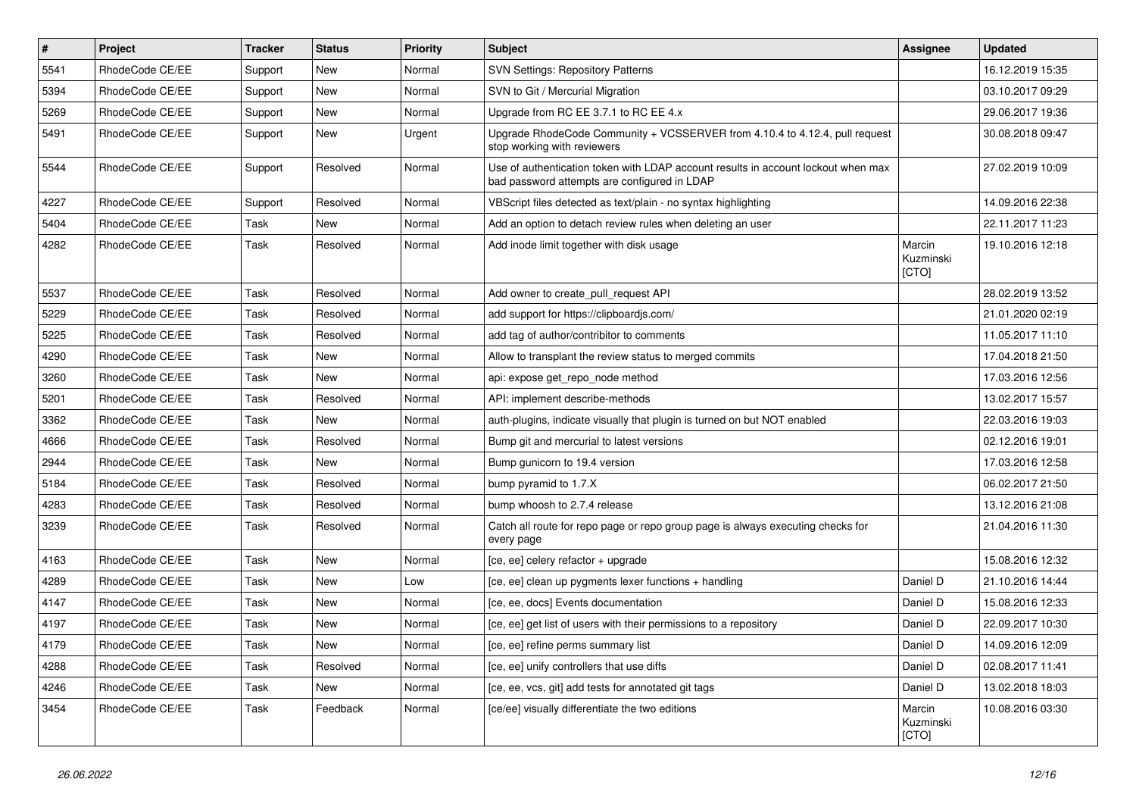| $\pmb{\#}$ | Project         | <b>Tracker</b> | <b>Status</b> | <b>Priority</b> | Subject                                                                                                                           | <b>Assignee</b>              | <b>Updated</b>   |
|------------|-----------------|----------------|---------------|-----------------|-----------------------------------------------------------------------------------------------------------------------------------|------------------------------|------------------|
| 5541       | RhodeCode CE/EE | Support        | New           | Normal          | <b>SVN Settings: Repository Patterns</b>                                                                                          |                              | 16.12.2019 15:35 |
| 5394       | RhodeCode CE/EE | Support        | <b>New</b>    | Normal          | SVN to Git / Mercurial Migration                                                                                                  |                              | 03.10.2017 09:29 |
| 5269       | RhodeCode CE/EE | Support        | New           | Normal          | Upgrade from RC EE 3.7.1 to RC EE 4.x                                                                                             |                              | 29.06.2017 19:36 |
| 5491       | RhodeCode CE/EE | Support        | New           | Urgent          | Upgrade RhodeCode Community + VCSSERVER from 4.10.4 to 4.12.4, pull request<br>stop working with reviewers                        |                              | 30.08.2018 09:47 |
| 5544       | RhodeCode CE/EE | Support        | Resolved      | Normal          | Use of authentication token with LDAP account results in account lockout when max<br>bad password attempts are configured in LDAP |                              | 27.02.2019 10:09 |
| 4227       | RhodeCode CE/EE | Support        | Resolved      | Normal          | VBScript files detected as text/plain - no syntax highlighting                                                                    |                              | 14.09.2016 22:38 |
| 5404       | RhodeCode CE/EE | Task           | New           | Normal          | Add an option to detach review rules when deleting an user                                                                        |                              | 22.11.2017 11:23 |
| 4282       | RhodeCode CE/EE | Task           | Resolved      | Normal          | Add inode limit together with disk usage                                                                                          | Marcin<br>Kuzminski<br>[CTO] | 19.10.2016 12:18 |
| 5537       | RhodeCode CE/EE | Task           | Resolved      | Normal          | Add owner to create_pull_request API                                                                                              |                              | 28.02.2019 13:52 |
| 5229       | RhodeCode CE/EE | Task           | Resolved      | Normal          | add support for https://clipboardis.com/                                                                                          |                              | 21.01.2020 02:19 |
| 5225       | RhodeCode CE/EE | Task           | Resolved      | Normal          | add tag of author/contribitor to comments                                                                                         |                              | 11.05.2017 11:10 |
| 4290       | RhodeCode CE/EE | Task           | New           | Normal          | Allow to transplant the review status to merged commits                                                                           |                              | 17.04.2018 21:50 |
| 3260       | RhodeCode CE/EE | Task           | <b>New</b>    | Normal          | api: expose get_repo_node method                                                                                                  |                              | 17.03.2016 12:56 |
| 5201       | RhodeCode CE/EE | Task           | Resolved      | Normal          | API: implement describe-methods                                                                                                   |                              | 13.02.2017 15:57 |
| 3362       | RhodeCode CE/EE | Task           | New           | Normal          | auth-plugins, indicate visually that plugin is turned on but NOT enabled                                                          |                              | 22.03.2016 19:03 |
| 4666       | RhodeCode CE/EE | Task           | Resolved      | Normal          | Bump git and mercurial to latest versions                                                                                         |                              | 02.12.2016 19:01 |
| 2944       | RhodeCode CE/EE | Task           | New           | Normal          | Bump gunicorn to 19.4 version                                                                                                     |                              | 17.03.2016 12:58 |
| 5184       | RhodeCode CE/EE | Task           | Resolved      | Normal          | bump pyramid to 1.7.X                                                                                                             |                              | 06.02.2017 21:50 |
| 4283       | RhodeCode CE/EE | Task           | Resolved      | Normal          | bump whoosh to 2.7.4 release                                                                                                      |                              | 13.12.2016 21:08 |
| 3239       | RhodeCode CE/EE | Task           | Resolved      | Normal          | Catch all route for repo page or repo group page is always executing checks for<br>every page                                     |                              | 21.04.2016 11:30 |
| 4163       | RhodeCode CE/EE | Task           | <b>New</b>    | Normal          | [ce, ee] celery refactor + upgrade                                                                                                |                              | 15.08.2016 12:32 |
| 4289       | RhodeCode CE/EE | Task           | New           | Low             | [ce, ee] clean up pygments lexer functions + handling                                                                             | Daniel D                     | 21.10.2016 14:44 |
| 4147       | RhodeCode CE/EE | Task           | New           | Normal          | [ce, ee, docs] Events documentation                                                                                               | Daniel D                     | 15.08.2016 12:33 |
| 4197       | RhodeCode CE/EE | Task           | New           | Normal          | [ce, ee] get list of users with their permissions to a repository                                                                 | Daniel D                     | 22.09.2017 10:30 |
| 4179       | RhodeCode CE/EE | Task           | New           | Normal          | [ce, ee] refine perms summary list                                                                                                | Daniel D                     | 14.09.2016 12:09 |
| 4288       | RhodeCode CE/EE | Task           | Resolved      | Normal          | [ce, ee] unify controllers that use diffs                                                                                         | Daniel D                     | 02.08.2017 11:41 |
| 4246       | RhodeCode CE/EE | Task           | New           | Normal          | [ce, ee, vcs, git] add tests for annotated git tags                                                                               | Daniel D                     | 13.02.2018 18:03 |
| 3454       | RhodeCode CE/EE | Task           | Feedback      | Normal          | [ce/ee] visually differentiate the two editions                                                                                   | Marcin<br>Kuzminski<br>[CTO] | 10.08.2016 03:30 |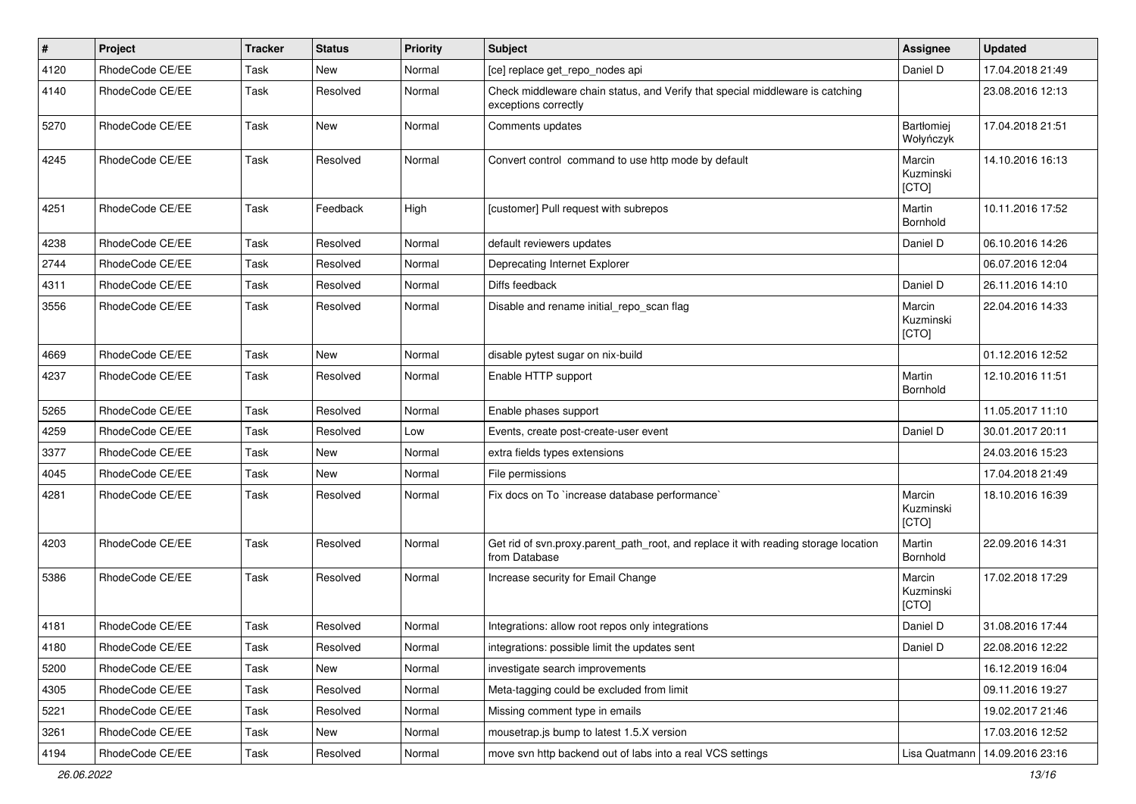| $\vert$ # | Project         | <b>Tracker</b> | <b>Status</b> | Priority | <b>Subject</b>                                                                                        | <b>Assignee</b>              | <b>Updated</b>   |
|-----------|-----------------|----------------|---------------|----------|-------------------------------------------------------------------------------------------------------|------------------------------|------------------|
| 4120      | RhodeCode CE/EE | Task           | New           | Normal   | [ce] replace get_repo_nodes api                                                                       | Daniel D                     | 17.04.2018 21:49 |
| 4140      | RhodeCode CE/EE | Task           | Resolved      | Normal   | Check middleware chain status, and Verify that special middleware is catching<br>exceptions correctly |                              | 23.08.2016 12:13 |
| 5270      | RhodeCode CE/EE | Task           | <b>New</b>    | Normal   | Comments updates                                                                                      | Bartłomiej<br>Wołyńczyk      | 17.04.2018 21:51 |
| 4245      | RhodeCode CE/EE | Task           | Resolved      | Normal   | Convert control command to use http mode by default                                                   | Marcin<br>Kuzminski<br>[CTO] | 14.10.2016 16:13 |
| 4251      | RhodeCode CE/EE | Task           | Feedback      | High     | [customer] Pull request with subrepos                                                                 | Martin<br>Bornhold           | 10.11.2016 17:52 |
| 4238      | RhodeCode CE/EE | Task           | Resolved      | Normal   | default reviewers updates                                                                             | Daniel D                     | 06.10.2016 14:26 |
| 2744      | RhodeCode CE/EE | Task           | Resolved      | Normal   | Deprecating Internet Explorer                                                                         |                              | 06.07.2016 12:04 |
| 4311      | RhodeCode CE/EE | Task           | Resolved      | Normal   | Diffs feedback                                                                                        | Daniel D                     | 26.11.2016 14:10 |
| 3556      | RhodeCode CE/EE | Task           | Resolved      | Normal   | Disable and rename initial repo scan flag                                                             | Marcin<br>Kuzminski<br>[CTO] | 22.04.2016 14:33 |
| 4669      | RhodeCode CE/EE | Task           | New           | Normal   | disable pytest sugar on nix-build                                                                     |                              | 01.12.2016 12:52 |
| 4237      | RhodeCode CE/EE | Task           | Resolved      | Normal   | Enable HTTP support                                                                                   | Martin<br>Bornhold           | 12.10.2016 11:51 |
| 5265      | RhodeCode CE/EE | Task           | Resolved      | Normal   | Enable phases support                                                                                 |                              | 11.05.2017 11:10 |
| 4259      | RhodeCode CE/EE | Task           | Resolved      | Low      | Events, create post-create-user event                                                                 | Daniel D                     | 30.01.2017 20:11 |
| 3377      | RhodeCode CE/EE | Task           | <b>New</b>    | Normal   | extra fields types extensions                                                                         |                              | 24.03.2016 15:23 |
| 4045      | RhodeCode CE/EE | Task           | New           | Normal   | File permissions                                                                                      |                              | 17.04.2018 21:49 |
| 4281      | RhodeCode CE/EE | Task           | Resolved      | Normal   | Fix docs on To `increase database performance`                                                        | Marcin<br>Kuzminski<br>[CTO] | 18.10.2016 16:39 |
| 4203      | RhodeCode CE/EE | Task           | Resolved      | Normal   | Get rid of svn.proxy.parent_path_root, and replace it with reading storage location<br>from Database  | Martin<br>Bornhold           | 22.09.2016 14:31 |
| 5386      | RhodeCode CE/EE | Task           | Resolved      | Normal   | Increase security for Email Change                                                                    | Marcin<br>Kuzminski<br>[CTO] | 17.02.2018 17:29 |
| 4181      | RhodeCode CE/EE | Task           | Resolved      | Normal   | Integrations: allow root repos only integrations                                                      | Daniel D                     | 31.08.2016 17:44 |
| 4180      | RhodeCode CE/EE | Task           | Resolved      | Normal   | integrations: possible limit the updates sent                                                         | Daniel D                     | 22.08.2016 12:22 |
| 5200      | RhodeCode CE/EE | Task           | New           | Normal   | investigate search improvements                                                                       |                              | 16.12.2019 16:04 |
| 4305      | RhodeCode CE/EE | Task           | Resolved      | Normal   | Meta-tagging could be excluded from limit                                                             |                              | 09.11.2016 19:27 |
| 5221      | RhodeCode CE/EE | Task           | Resolved      | Normal   | Missing comment type in emails                                                                        |                              | 19.02.2017 21:46 |
| 3261      | RhodeCode CE/EE | Task           | New           | Normal   | mousetrap.js bump to latest 1.5.X version                                                             |                              | 17.03.2016 12:52 |
| 4194      | RhodeCode CE/EE | Task           | Resolved      | Normal   | move svn http backend out of labs into a real VCS settings                                            | Lisa Quatmann                | 14.09.2016 23:16 |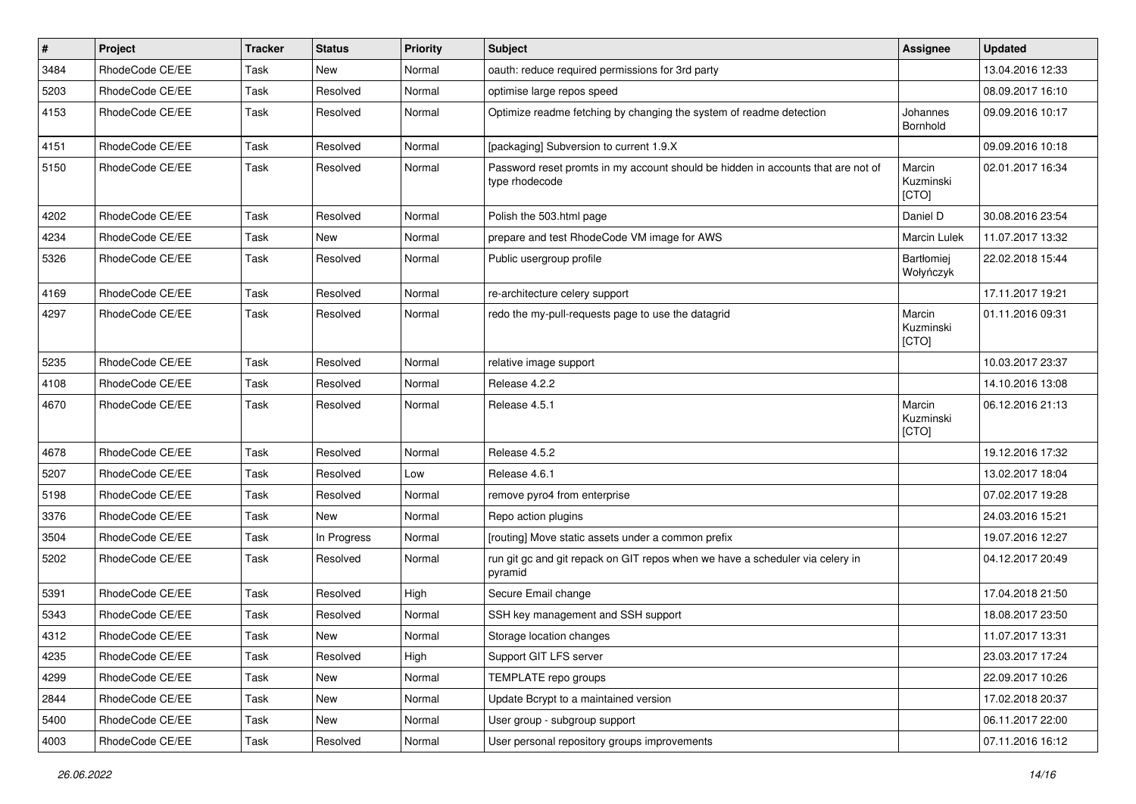| $\pmb{\#}$ | <b>Project</b>  | <b>Tracker</b> | <b>Status</b> | Priority | <b>Subject</b>                                                                                     | Assignee                     | <b>Updated</b>   |
|------------|-----------------|----------------|---------------|----------|----------------------------------------------------------------------------------------------------|------------------------------|------------------|
| 3484       | RhodeCode CE/EE | Task           | New           | Normal   | oauth: reduce required permissions for 3rd party                                                   |                              | 13.04.2016 12:33 |
| 5203       | RhodeCode CE/EE | Task           | Resolved      | Normal   | optimise large repos speed                                                                         |                              | 08.09.2017 16:10 |
| 4153       | RhodeCode CE/EE | Task           | Resolved      | Normal   | Optimize readme fetching by changing the system of readme detection                                | Johannes<br>Bornhold         | 09.09.2016 10:17 |
| 4151       | RhodeCode CE/EE | Task           | Resolved      | Normal   | [packaging] Subversion to current 1.9.X                                                            |                              | 09.09.2016 10:18 |
| 5150       | RhodeCode CE/EE | Task           | Resolved      | Normal   | Password reset promts in my account should be hidden in accounts that are not of<br>type rhodecode | Marcin<br>Kuzminski<br>[CTO] | 02.01.2017 16:34 |
| 4202       | RhodeCode CE/EE | Task           | Resolved      | Normal   | Polish the 503.html page                                                                           | Daniel D                     | 30.08.2016 23:54 |
| 4234       | RhodeCode CE/EE | Task           | <b>New</b>    | Normal   | prepare and test RhodeCode VM image for AWS                                                        | Marcin Lulek                 | 11.07.2017 13:32 |
| 5326       | RhodeCode CE/EE | Task           | Resolved      | Normal   | Public usergroup profile                                                                           | Bartłomiej<br>Wołyńczyk      | 22.02.2018 15:44 |
| 4169       | RhodeCode CE/EE | Task           | Resolved      | Normal   | re-architecture celery support                                                                     |                              | 17.11.2017 19:21 |
| 4297       | RhodeCode CE/EE | Task           | Resolved      | Normal   | redo the my-pull-requests page to use the datagrid                                                 | Marcin<br>Kuzminski<br>[CTO] | 01.11.2016 09:31 |
| 5235       | RhodeCode CE/EE | Task           | Resolved      | Normal   | relative image support                                                                             |                              | 10.03.2017 23:37 |
| 4108       | RhodeCode CE/EE | Task           | Resolved      | Normal   | Release 4.2.2                                                                                      |                              | 14.10.2016 13:08 |
| 4670       | RhodeCode CE/EE | Task           | Resolved      | Normal   | Release 4.5.1                                                                                      | Marcin<br>Kuzminski<br>[CTO] | 06.12.2016 21:13 |
| 4678       | RhodeCode CE/EE | Task           | Resolved      | Normal   | Release 4.5.2                                                                                      |                              | 19.12.2016 17:32 |
| 5207       | RhodeCode CE/EE | Task           | Resolved      | Low      | Release 4.6.1                                                                                      |                              | 13.02.2017 18:04 |
| 5198       | RhodeCode CE/EE | Task           | Resolved      | Normal   | remove pyro4 from enterprise                                                                       |                              | 07.02.2017 19:28 |
| 3376       | RhodeCode CE/EE | Task           | <b>New</b>    | Normal   | Repo action plugins                                                                                |                              | 24.03.2016 15:21 |
| 3504       | RhodeCode CE/EE | Task           | In Progress   | Normal   | [routing] Move static assets under a common prefix                                                 |                              | 19.07.2016 12:27 |
| 5202       | RhodeCode CE/EE | Task           | Resolved      | Normal   | run git gc and git repack on GIT repos when we have a scheduler via celery in<br>pyramid           |                              | 04.12.2017 20:49 |
| 5391       | RhodeCode CE/EE | Task           | Resolved      | High     | Secure Email change                                                                                |                              | 17.04.2018 21:50 |
| 5343       | RhodeCode CE/EE | Task           | Resolved      | Normal   | SSH key management and SSH support                                                                 |                              | 18.08.2017 23:50 |
| 4312       | RhodeCode CE/EE | Task           | New           | Normal   | Storage location changes                                                                           |                              | 11.07.2017 13:31 |
| 4235       | RhodeCode CE/EE | Task           | Resolved      | High     | Support GIT LFS server                                                                             |                              | 23.03.2017 17:24 |
| 4299       | RhodeCode CE/EE | Task           | New           | Normal   | TEMPLATE repo groups                                                                               |                              | 22.09.2017 10:26 |
| 2844       | RhodeCode CE/EE | Task           | New           | Normal   | Update Bcrypt to a maintained version                                                              |                              | 17.02.2018 20:37 |
| 5400       | RhodeCode CE/EE | Task           | New           | Normal   | User group - subgroup support                                                                      |                              | 06.11.2017 22:00 |
| 4003       | RhodeCode CE/EE | Task           | Resolved      | Normal   | User personal repository groups improvements                                                       |                              | 07.11.2016 16:12 |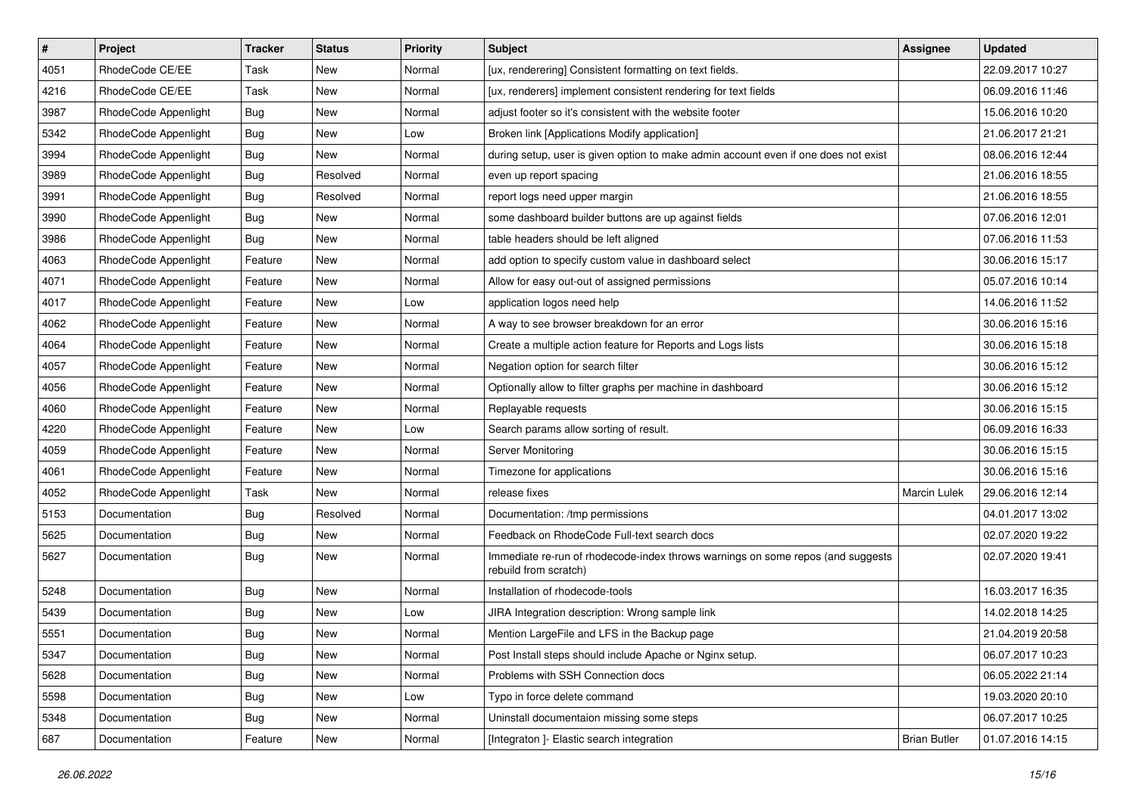| $\pmb{\#}$ | Project              | <b>Tracker</b> | <b>Status</b> | <b>Priority</b> | <b>Subject</b>                                                                                           | <b>Assignee</b>     | <b>Updated</b>   |
|------------|----------------------|----------------|---------------|-----------------|----------------------------------------------------------------------------------------------------------|---------------------|------------------|
| 4051       | RhodeCode CE/EE      | Task           | New           | Normal          | [ux, renderering] Consistent formatting on text fields.                                                  |                     | 22.09.2017 10:27 |
| 4216       | RhodeCode CE/EE      | Task           | New           | Normal          | [ux, renderers] implement consistent rendering for text fields                                           |                     | 06.09.2016 11:46 |
| 3987       | RhodeCode Appenlight | Bug            | New           | Normal          | adjust footer so it's consistent with the website footer                                                 |                     | 15.06.2016 10:20 |
| 5342       | RhodeCode Appenlight | <b>Bug</b>     | New           | Low             | Broken link [Applications Modify application]                                                            |                     | 21.06.2017 21:21 |
| 3994       | RhodeCode Appenlight | <b>Bug</b>     | <b>New</b>    | Normal          | during setup, user is given option to make admin account even if one does not exist                      |                     | 08.06.2016 12:44 |
| 3989       | RhodeCode Appenlight | Bug            | Resolved      | Normal          | even up report spacing                                                                                   |                     | 21.06.2016 18:55 |
| 3991       | RhodeCode Appenlight | Bug            | Resolved      | Normal          | report logs need upper margin                                                                            |                     | 21.06.2016 18:55 |
| 3990       | RhodeCode Appenlight | <b>Bug</b>     | New           | Normal          | some dashboard builder buttons are up against fields                                                     |                     | 07.06.2016 12:01 |
| 3986       | RhodeCode Appenlight | Bug            | New           | Normal          | table headers should be left aligned                                                                     |                     | 07.06.2016 11:53 |
| 4063       | RhodeCode Appenlight | Feature        | New           | Normal          | add option to specify custom value in dashboard select                                                   |                     | 30.06.2016 15:17 |
| 4071       | RhodeCode Appenlight | Feature        | New           | Normal          | Allow for easy out-out of assigned permissions                                                           |                     | 05.07.2016 10:14 |
| 4017       | RhodeCode Appenlight | Feature        | New           | Low             | application logos need help                                                                              |                     | 14.06.2016 11:52 |
| 4062       | RhodeCode Appenlight | Feature        | New           | Normal          | A way to see browser breakdown for an error                                                              |                     | 30.06.2016 15:16 |
| 4064       | RhodeCode Appenlight | Feature        | New           | Normal          | Create a multiple action feature for Reports and Logs lists                                              |                     | 30.06.2016 15:18 |
| 4057       | RhodeCode Appenlight | Feature        | New           | Normal          | Negation option for search filter                                                                        |                     | 30.06.2016 15:12 |
| 4056       | RhodeCode Appenlight | Feature        | New           | Normal          | Optionally allow to filter graphs per machine in dashboard                                               |                     | 30.06.2016 15:12 |
| 4060       | RhodeCode Appenlight | Feature        | New           | Normal          | Replayable requests                                                                                      |                     | 30.06.2016 15:15 |
| 4220       | RhodeCode Appenlight | Feature        | <b>New</b>    | Low             | Search params allow sorting of result.                                                                   |                     | 06.09.2016 16:33 |
| 4059       | RhodeCode Appenlight | Feature        | New           | Normal          | Server Monitoring                                                                                        |                     | 30.06.2016 15:15 |
| 4061       | RhodeCode Appenlight | Feature        | New           | Normal          | Timezone for applications                                                                                |                     | 30.06.2016 15:16 |
| 4052       | RhodeCode Appenlight | Task           | New           | Normal          | release fixes                                                                                            | <b>Marcin Lulek</b> | 29.06.2016 12:14 |
| 5153       | Documentation        | Bug            | Resolved      | Normal          | Documentation: /tmp permissions                                                                          |                     | 04.01.2017 13:02 |
| 5625       | Documentation        | Bug            | <b>New</b>    | Normal          | Feedback on RhodeCode Full-text search docs                                                              |                     | 02.07.2020 19:22 |
| 5627       | Documentation        | Bug            | New           | Normal          | Immediate re-run of rhodecode-index throws warnings on some repos (and suggests<br>rebuild from scratch) |                     | 02.07.2020 19:41 |
| 5248       | Documentation        | Bug            | <b>New</b>    | Normal          | Installation of rhodecode-tools                                                                          |                     | 16.03.2017 16:35 |
| 5439       | Documentation        | <b>Bug</b>     | New           | Low             | JIRA Integration description: Wrong sample link                                                          |                     | 14.02.2018 14:25 |
| 5551       | Documentation        | <b>Bug</b>     | New           | Normal          | Mention LargeFile and LFS in the Backup page                                                             |                     | 21.04.2019 20:58 |
| 5347       | Documentation        | <b>Bug</b>     | New           | Normal          | Post Install steps should include Apache or Nginx setup.                                                 |                     | 06.07.2017 10:23 |
| 5628       | Documentation        | Bug            | New           | Normal          | Problems with SSH Connection docs                                                                        |                     | 06.05.2022 21:14 |
| 5598       | Documentation        | <b>Bug</b>     | New           | Low             | Typo in force delete command                                                                             |                     | 19.03.2020 20:10 |
| 5348       | Documentation        | Bug            | New           | Normal          | Uninstall documentaion missing some steps                                                                |                     | 06.07.2017 10:25 |
| 687        | Documentation        | Feature        | New           | Normal          | [Integraton ]- Elastic search integration                                                                | <b>Brian Butler</b> | 01.07.2016 14:15 |